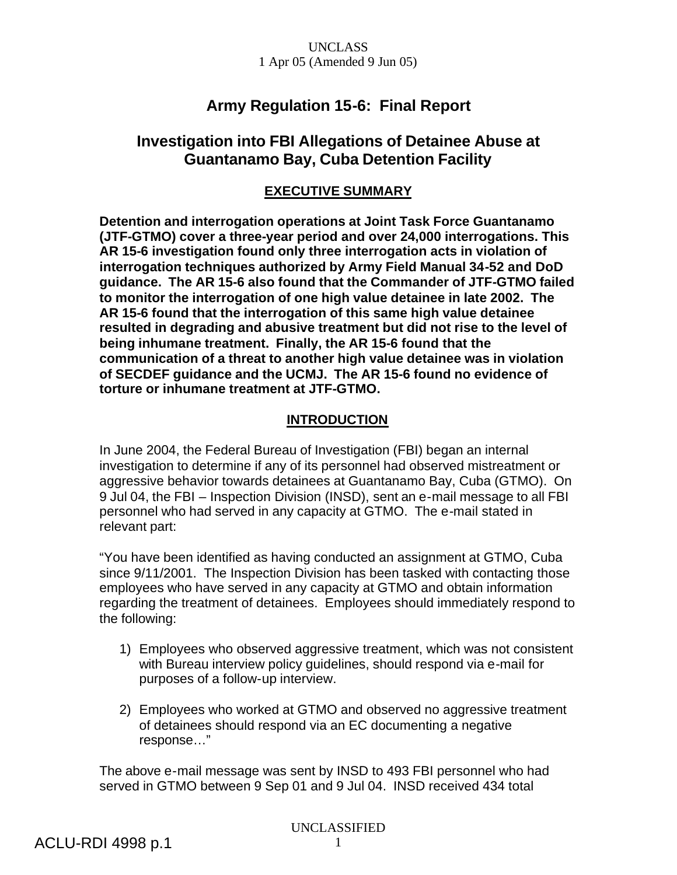## **Army Regulation 15-6: Final Report**

## **Investigation into FBI Allegations of Detainee Abuse at Guantanamo Bay, Cuba Detention Facility**

## **EXECUTIVE SUMMARY**

**Detention and interrogation operations at Joint Task Force Guantanamo (JTF-GTMO) cover a three-year period and over 24,000 interrogations. This AR 15-6 investigation found only three interrogation acts in violation of interrogation techniques authorized by Army Field Manual 34-52 and DoD guidance. The AR 15-6 also found that the Commander of JTF-GTMO failed to monitor the interrogation of one high value detainee in late 2002. The AR 15-6 found that the interrogation of this same high value detainee resulted in degrading and abusive treatment but did not rise to the level of being inhumane treatment. Finally, the AR 15-6 found that the communication of a threat to another high value detainee was in violation of SECDEF guidance and the UCMJ. The AR 15-6 found no evidence of torture or inhumane treatment at JTF-GTMO.**

## **INTRODUCTION**

In June 2004, the Federal Bureau of Investigation (FBI) began an internal investigation to determine if any of its personnel had observed mistreatment or aggressive behavior towards detainees at Guantanamo Bay, Cuba (GTMO). On 9 Jul 04, the FBI – Inspection Division (INSD), sent an e-mail message to all FBI personnel who had served in any capacity at GTMO. The e-mail stated in relevant part:

"You have been identified as having conducted an assignment at GTMO, Cuba since 9/11/2001. The Inspection Division has been tasked with contacting those employees who have served in any capacity at GTMO and obtain information regarding the treatment of detainees. Employees should immediately respond to the following:

- 1) Employees who observed aggressive treatment, which was not consistent with Bureau interview policy guidelines, should respond via e-mail for purposes of a follow-up interview.
- 2) Employees who worked at GTMO and observed no aggressive treatment of detainees should respond via an EC documenting a negative response…"

The above e-mail message was sent by INSD to 493 FBI personnel who had served in GTMO between 9 Sep 01 and 9 Jul 04. INSD received 434 total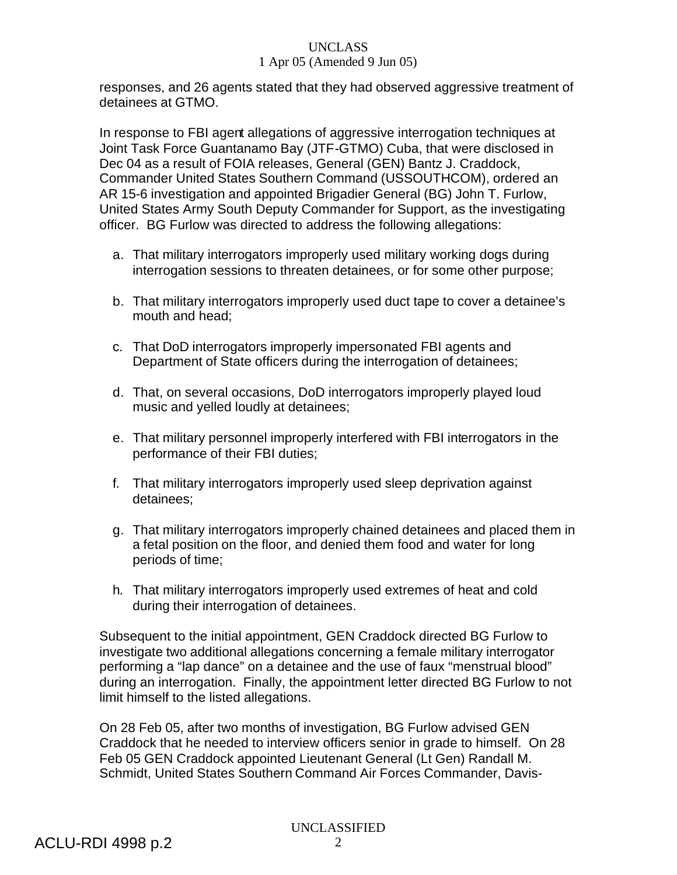#### 1 Apr 05 (Amended 9 Jun 05)

responses, and 26 agents stated that they had observed aggressive treatment of detainees at GTMO.

In response to FBI agent allegations of aggressive interrogation techniques at Joint Task Force Guantanamo Bay (JTF-GTMO) Cuba, that were disclosed in Dec 04 as a result of FOIA releases, General (GEN) Bantz J. Craddock, Commander United States Southern Command (USSOUTHCOM), ordered an AR 15-6 investigation and appointed Brigadier General (BG) John T. Furlow, United States Army South Deputy Commander for Support, as the investigating officer. BG Furlow was directed to address the following allegations:

- a. That military interrogators improperly used military working dogs during interrogation sessions to threaten detainees, or for some other purpose;
- b. That military interrogators improperly used duct tape to cover a detainee's mouth and head;
- c. That DoD interrogators improperly impersonated FBI agents and Department of State officers during the interrogation of detainees;
- d. That, on several occasions, DoD interrogators improperly played loud music and yelled loudly at detainees;
- e. That military personnel improperly interfered with FBI interrogators in the performance of their FBI duties;
- f. That military interrogators improperly used sleep deprivation against detainees;
- g. That military interrogators improperly chained detainees and placed them in a fetal position on the floor, and denied them food and water for long periods of time;
- h. That military interrogators improperly used extremes of heat and cold during their interrogation of detainees.

Subsequent to the initial appointment, GEN Craddock directed BG Furlow to investigate two additional allegations concerning a female military interrogator performing a "lap dance" on a detainee and the use of faux "menstrual blood" during an interrogation. Finally, the appointment letter directed BG Furlow to not limit himself to the listed allegations.

On 28 Feb 05, after two months of investigation, BG Furlow advised GEN Craddock that he needed to interview officers senior in grade to himself. On 28 Feb 05 GEN Craddock appointed Lieutenant General (Lt Gen) Randall M. Schmidt, United States Southern Command Air Forces Commander, Davis-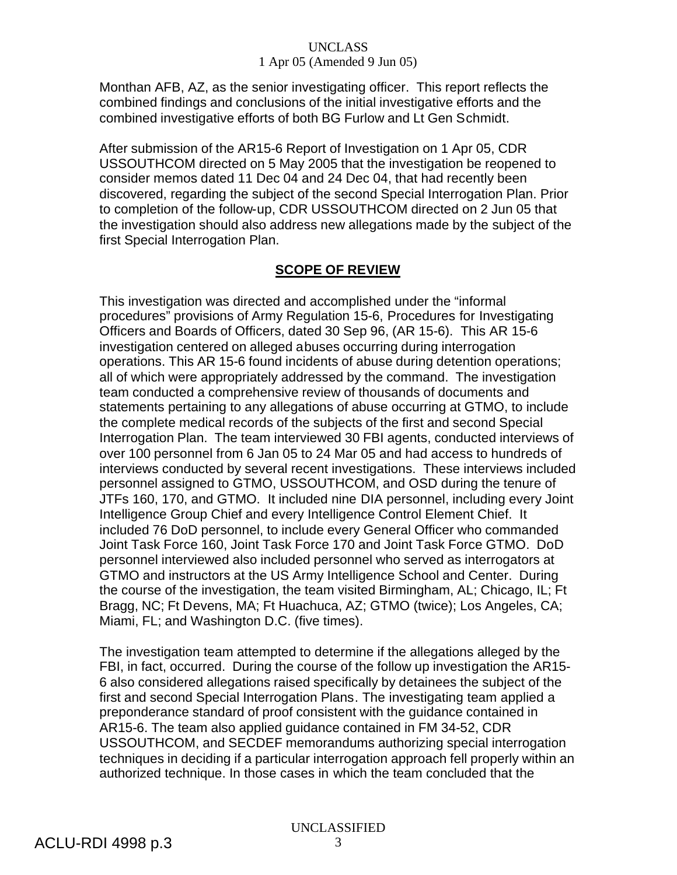#### 1 Apr 05 (Amended 9 Jun 05)

Monthan AFB, AZ, as the senior investigating officer. This report reflects the combined findings and conclusions of the initial investigative efforts and the combined investigative efforts of both BG Furlow and Lt Gen Schmidt.

After submission of the AR15-6 Report of Investigation on 1 Apr 05, CDR USSOUTHCOM directed on 5 May 2005 that the investigation be reopened to consider memos dated 11 Dec 04 and 24 Dec 04, that had recently been discovered, regarding the subject of the second Special Interrogation Plan. Prior to completion of the follow-up, CDR USSOUTHCOM directed on 2 Jun 05 that the investigation should also address new allegations made by the subject of the first Special Interrogation Plan.

## **SCOPE OF REVIEW**

This investigation was directed and accomplished under the "informal procedures" provisions of Army Regulation 15-6, Procedures for Investigating Officers and Boards of Officers, dated 30 Sep 96, (AR 15-6). This AR 15-6 investigation centered on alleged abuses occurring during interrogation operations. This AR 15-6 found incidents of abuse during detention operations; all of which were appropriately addressed by the command. The investigation team conducted a comprehensive review of thousands of documents and statements pertaining to any allegations of abuse occurring at GTMO, to include the complete medical records of the subjects of the first and second Special Interrogation Plan. The team interviewed 30 FBI agents, conducted interviews of over 100 personnel from 6 Jan 05 to 24 Mar 05 and had access to hundreds of interviews conducted by several recent investigations. These interviews included personnel assigned to GTMO, USSOUTHCOM, and OSD during the tenure of JTFs 160, 170, and GTMO. It included nine DIA personnel, including every Joint Intelligence Group Chief and every Intelligence Control Element Chief. It included 76 DoD personnel, to include every General Officer who commanded Joint Task Force 160, Joint Task Force 170 and Joint Task Force GTMO. DoD personnel interviewed also included personnel who served as interrogators at GTMO and instructors at the US Army Intelligence School and Center. During the course of the investigation, the team visited Birmingham, AL; Chicago, IL; Ft Bragg, NC; Ft Devens, MA; Ft Huachuca, AZ; GTMO (twice); Los Angeles, CA; Miami, FL; and Washington D.C. (five times).

The investigation team attempted to determine if the allegations alleged by the FBI, in fact, occurred. During the course of the follow up investigation the AR15- 6 also considered allegations raised specifically by detainees the subject of the first and second Special Interrogation Plans. The investigating team applied a preponderance standard of proof consistent with the guidance contained in AR15-6. The team also applied guidance contained in FM 34-52, CDR USSOUTHCOM, and SECDEF memorandums authorizing special interrogation techniques in deciding if a particular interrogation approach fell properly within an authorized technique. In those cases in which the team concluded that the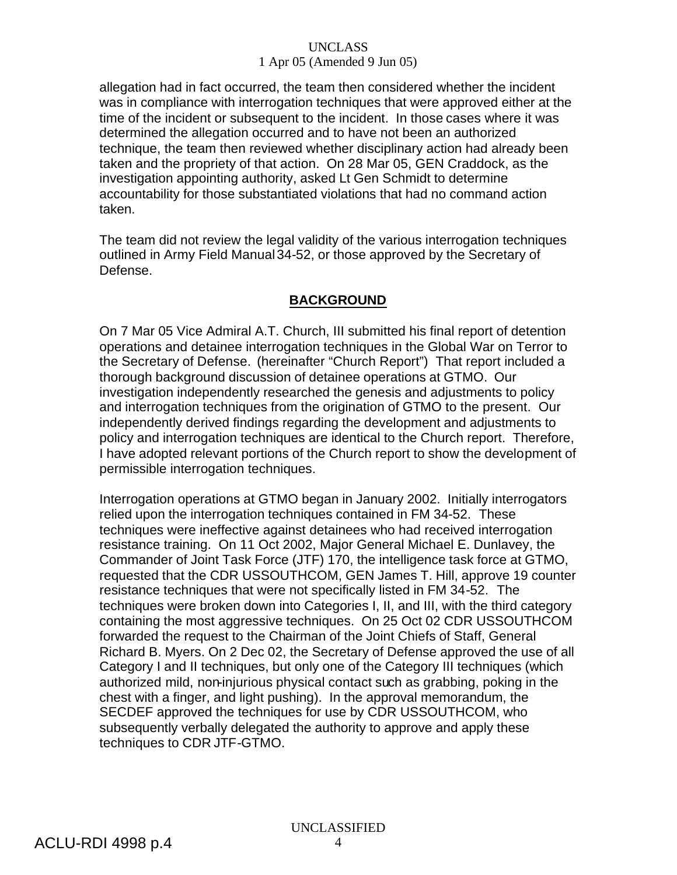#### 1 Apr 05 (Amended 9 Jun 05)

allegation had in fact occurred, the team then considered whether the incident was in compliance with interrogation techniques that were approved either at the time of the incident or subsequent to the incident. In those cases where it was determined the allegation occurred and to have not been an authorized technique, the team then reviewed whether disciplinary action had already been taken and the propriety of that action. On 28 Mar 05, GEN Craddock, as the investigation appointing authority, asked Lt Gen Schmidt to determine accountability for those substantiated violations that had no command action taken.

The team did not review the legal validity of the various interrogation techniques outlined in Army Field Manual 34-52, or those approved by the Secretary of Defense.

## **BACKGROUND**

On 7 Mar 05 Vice Admiral A.T. Church, III submitted his final report of detention operations and detainee interrogation techniques in the Global War on Terror to the Secretary of Defense. (hereinafter "Church Report") That report included a thorough background discussion of detainee operations at GTMO. Our investigation independently researched the genesis and adjustments to policy and interrogation techniques from the origination of GTMO to the present. Our independently derived findings regarding the development and adjustments to policy and interrogation techniques are identical to the Church report. Therefore, I have adopted relevant portions of the Church report to show the development of permissible interrogation techniques.

Interrogation operations at GTMO began in January 2002. Initially interrogators relied upon the interrogation techniques contained in FM 34-52. These techniques were ineffective against detainees who had received interrogation resistance training. On 11 Oct 2002, Major General Michael E. Dunlavey, the Commander of Joint Task Force (JTF) 170, the intelligence task force at GTMO, requested that the CDR USSOUTHCOM, GEN James T. Hill, approve 19 counter resistance techniques that were not specifically listed in FM 34-52. The techniques were broken down into Categories I, II, and III, with the third category containing the most aggressive techniques. On 25 Oct 02 CDR USSOUTHCOM forwarded the request to the Chairman of the Joint Chiefs of Staff, General Richard B. Myers. On 2 Dec 02, the Secretary of Defense approved the use of all Category I and II techniques, but only one of the Category III techniques (which authorized mild, non-injurious physical contact such as grabbing, poking in the chest with a finger, and light pushing). In the approval memorandum, the SECDEF approved the techniques for use by CDR USSOUTHCOM, who subsequently verbally delegated the authority to approve and apply these techniques to CDR JTF-GTMO.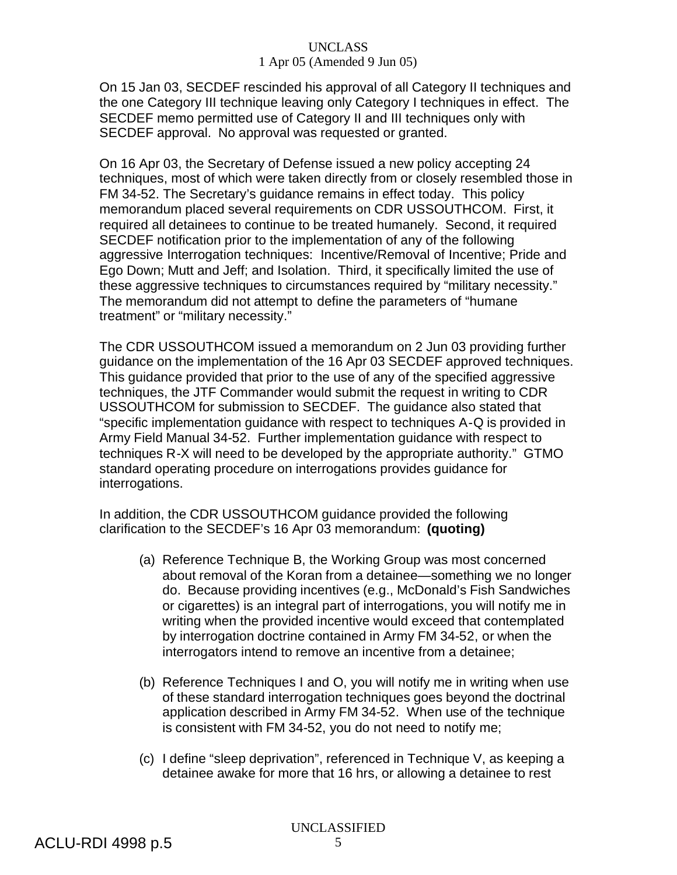#### 1 Apr 05 (Amended 9 Jun 05)

On 15 Jan 03, SECDEF rescinded his approval of all Category II techniques and the one Category III technique leaving only Category I techniques in effect. The SECDEF memo permitted use of Category II and III techniques only with SECDEF approval. No approval was requested or granted.

On 16 Apr 03, the Secretary of Defense issued a new policy accepting 24 techniques, most of which were taken directly from or closely resembled those in FM 34-52. The Secretary's guidance remains in effect today. This policy memorandum placed several requirements on CDR USSOUTHCOM. First, it required all detainees to continue to be treated humanely. Second, it required SECDEF notification prior to the implementation of any of the following aggressive Interrogation techniques: Incentive/Removal of Incentive; Pride and Ego Down; Mutt and Jeff; and Isolation. Third, it specifically limited the use of these aggressive techniques to circumstances required by "military necessity." The memorandum did not attempt to define the parameters of "humane treatment" or "military necessity."

The CDR USSOUTHCOM issued a memorandum on 2 Jun 03 providing further guidance on the implementation of the 16 Apr 03 SECDEF approved techniques. This guidance provided that prior to the use of any of the specified aggressive techniques, the JTF Commander would submit the request in writing to CDR USSOUTHCOM for submission to SECDEF. The guidance also stated that "specific implementation guidance with respect to techniques A-Q is provided in Army Field Manual 34-52. Further implementation guidance with respect to techniques R-X will need to be developed by the appropriate authority." GTMO standard operating procedure on interrogations provides guidance for interrogations.

In addition, the CDR USSOUTHCOM guidance provided the following clarification to the SECDEF's 16 Apr 03 memorandum: **(quoting)**

- (a) Reference Technique B, the Working Group was most concerned about removal of the Koran from a detainee—something we no longer do. Because providing incentives (e.g., McDonald's Fish Sandwiches or cigarettes) is an integral part of interrogations, you will notify me in writing when the provided incentive would exceed that contemplated by interrogation doctrine contained in Army FM 34-52, or when the interrogators intend to remove an incentive from a detainee;
- (b) Reference Techniques I and O, you will notify me in writing when use of these standard interrogation techniques goes beyond the doctrinal application described in Army FM 34-52. When use of the technique is consistent with FM 34-52, you do not need to notify me;
- (c) I define "sleep deprivation", referenced in Technique V, as keeping a detainee awake for more that 16 hrs, or allowing a detainee to rest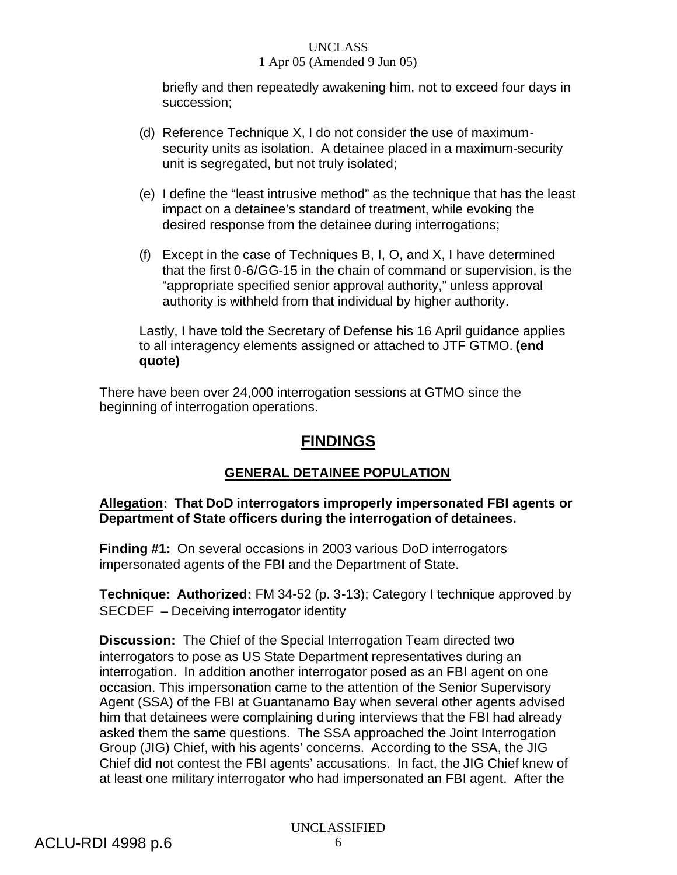#### 1 Apr 05 (Amended 9 Jun 05)

briefly and then repeatedly awakening him, not to exceed four days in succession;

- (d) Reference Technique X, I do not consider the use of maximumsecurity units as isolation. A detainee placed in a maximum-security unit is segregated, but not truly isolated;
- (e) I define the "least intrusive method" as the technique that has the least impact on a detainee's standard of treatment, while evoking the desired response from the detainee during interrogations;
- (f) Except in the case of Techniques B, I, O, and X, I have determined that the first 0-6/GG-15 in the chain of command or supervision, is the "appropriate specified senior approval authority," unless approval authority is withheld from that individual by higher authority.

Lastly, I have told the Secretary of Defense his 16 April guidance applies to all interagency elements assigned or attached to JTF GTMO. **(end quote)**

There have been over 24,000 interrogation sessions at GTMO since the beginning of interrogation operations.

## **FINDINGS**

## **GENERAL DETAINEE POPULATION**

## **Allegation: That DoD interrogators improperly impersonated FBI agents or Department of State officers during the interrogation of detainees.**

**Finding #1:** On several occasions in 2003 various DoD interrogators impersonated agents of the FBI and the Department of State.

**Technique: Authorized:** FM 34-52 (p. 3-13); Category I technique approved by SECDEF – Deceiving interrogator identity

**Discussion:** The Chief of the Special Interrogation Team directed two interrogators to pose as US State Department representatives during an interrogation. In addition another interrogator posed as an FBI agent on one occasion. This impersonation came to the attention of the Senior Supervisory Agent (SSA) of the FBI at Guantanamo Bay when several other agents advised him that detainees were complaining during interviews that the FBI had already asked them the same questions. The SSA approached the Joint Interrogation Group (JIG) Chief, with his agents' concerns. According to the SSA, the JIG Chief did not contest the FBI agents' accusations. In fact, the JIG Chief knew of at least one military interrogator who had impersonated an FBI agent. After the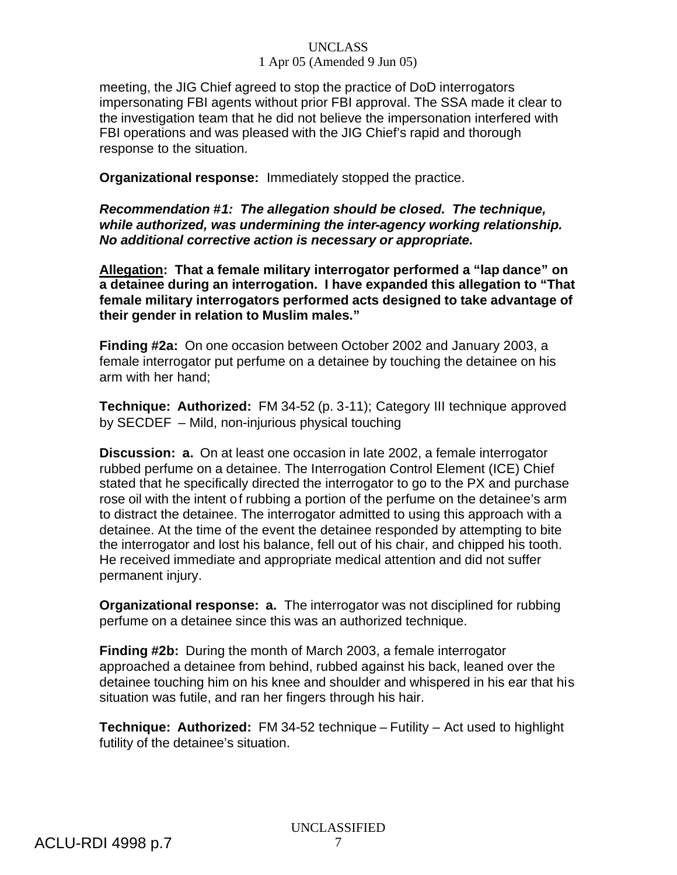#### 1 Apr 05 (Amended 9 Jun 05)

meeting, the JIG Chief agreed to stop the practice of DoD interrogators impersonating FBI agents without prior FBI approval. The SSA made it clear to the investigation team that he did not believe the impersonation interfered with FBI operations and was pleased with the JIG Chief's rapid and thorough response to the situation.

**Organizational response:** Immediately stopped the practice.

*Recommendation #1: The allegation should be closed. The technique, while authorized, was undermining the inter-agency working relationship. No additional corrective action is necessary or appropriate.* 

**Allegation: That a female military interrogator performed a "lap dance" on a detainee during an interrogation. I have expanded this allegation to "That female military interrogators performed acts designed to take advantage of their gender in relation to Muslim males."**

**Finding #2a:** On one occasion between October 2002 and January 2003, a female interrogator put perfume on a detainee by touching the detainee on his arm with her hand;

**Technique: Authorized:** FM 34-52 (p. 3-11); Category III technique approved by SECDEF – Mild, non-injurious physical touching

**Discussion: a.** On at least one occasion in late 2002, a female interrogator rubbed perfume on a detainee. The Interrogation Control Element (ICE) Chief stated that he specifically directed the interrogator to go to the PX and purchase rose oil with the intent of rubbing a portion of the perfume on the detainee's arm to distract the detainee. The interrogator admitted to using this approach with a detainee. At the time of the event the detainee responded by attempting to bite the interrogator and lost his balance, fell out of his chair, and chipped his tooth. He received immediate and appropriate medical attention and did not suffer permanent injury.

**Organizational response: a.** The interrogator was not disciplined for rubbing perfume on a detainee since this was an authorized technique.

**Finding #2b:** During the month of March 2003, a female interrogator approached a detainee from behind, rubbed against his back, leaned over the detainee touching him on his knee and shoulder and whispered in his ear that his situation was futile, and ran her fingers through his hair.

**Technique: Authorized:** FM 34-52 technique – Futility – Act used to highlight futility of the detainee's situation.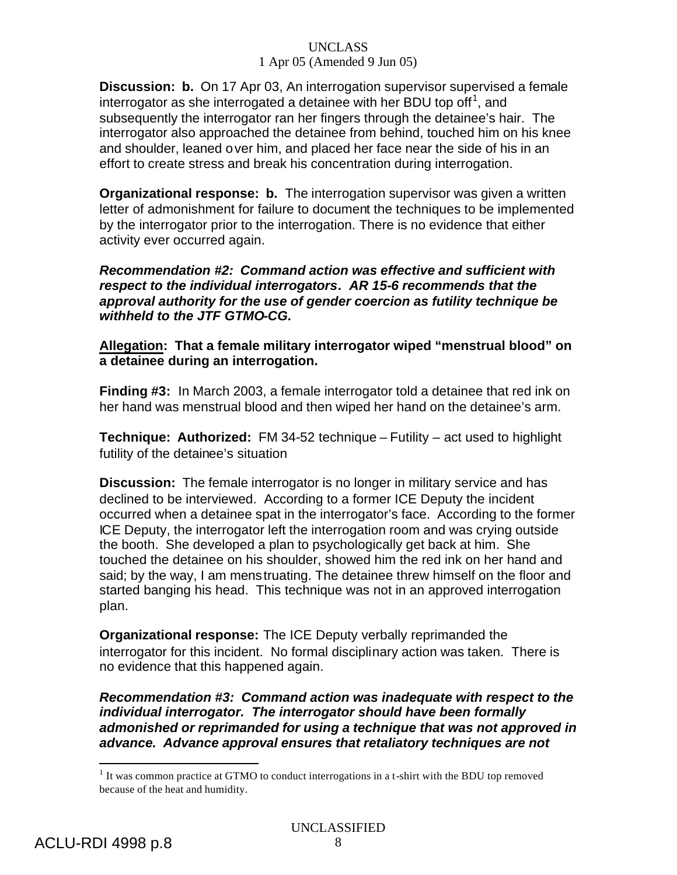#### 1 Apr 05 (Amended 9 Jun 05)

**Discussion: b.** On 17 Apr 03, An interrogation supervisor supervised a female interrogator as she interrogated a detainee with her BDU top off<sup>1</sup>, and subsequently the interrogator ran her fingers through the detainee's hair. The interrogator also approached the detainee from behind, touched him on his knee and shoulder, leaned over him, and placed her face near the side of his in an effort to create stress and break his concentration during interrogation.

**Organizational response: b.** The interrogation supervisor was given a written letter of admonishment for failure to document the techniques to be implemented by the interrogator prior to the interrogation. There is no evidence that either activity ever occurred again.

*Recommendation #2: Command action was effective and sufficient with respect to the individual interrogators. AR 15-6 recommends that the approval authority for the use of gender coercion as futility technique be withheld to the JTF GTMO-CG.* 

**Allegation: That a female military interrogator wiped "menstrual blood" on a detainee during an interrogation.** 

**Finding #3:** In March 2003, a female interrogator told a detainee that red ink on her hand was menstrual blood and then wiped her hand on the detainee's arm.

**Technique: Authorized:** FM 34-52 technique – Futility – act used to highlight futility of the detainee's situation

**Discussion:** The female interrogator is no longer in military service and has declined to be interviewed. According to a former ICE Deputy the incident occurred when a detainee spat in the interrogator's face. According to the former ICE Deputy, the interrogator left the interrogation room and was crying outside the booth. She developed a plan to psychologically get back at him. She touched the detainee on his shoulder, showed him the red ink on her hand and said; by the way, I am menstruating. The detainee threw himself on the floor and started banging his head. This technique was not in an approved interrogation plan.

**Organizational response:** The ICE Deputy verbally reprimanded the interrogator for this incident. No formal disciplinary action was taken. There is no evidence that this happened again.

*Recommendation #3: Command action was inadequate with respect to the individual interrogator. The interrogator should have been formally admonished or reprimanded for using a technique that was not approved in advance. Advance approval ensures that retaliatory techniques are not* 

<sup>&</sup>lt;sup>1</sup> It was common practice at GTMO to conduct interrogations in a t-shirt with the BDU top removed because of the heat and humidity.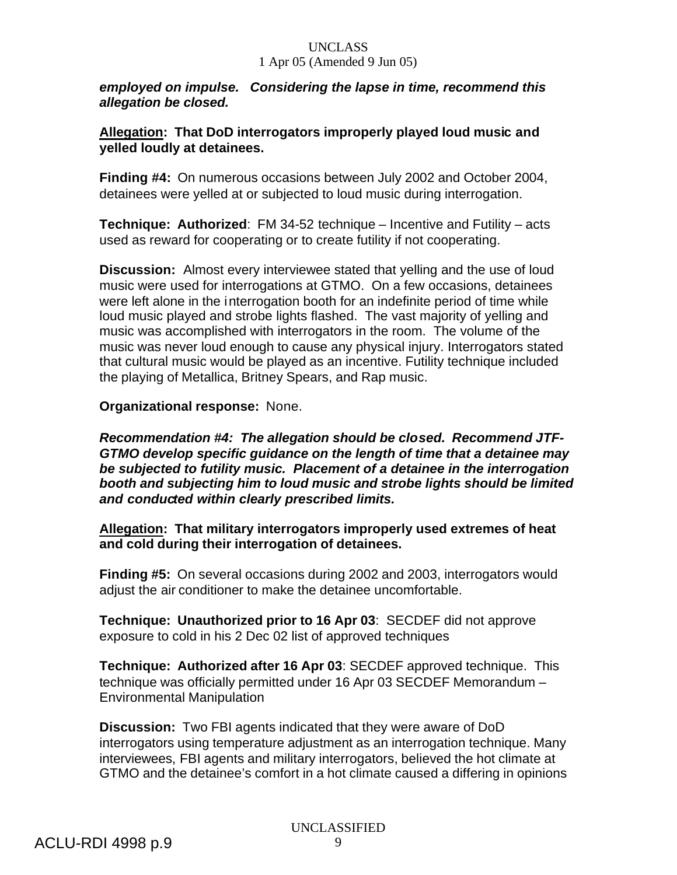## *employed on impulse. Considering the lapse in time, recommend this allegation be closed.*

## **Allegation: That DoD interrogators improperly played loud music and yelled loudly at detainees.**

**Finding #4:** On numerous occasions between July 2002 and October 2004, detainees were yelled at or subjected to loud music during interrogation.

**Technique: Authorized**: FM 34-52 technique – Incentive and Futility – acts used as reward for cooperating or to create futility if not cooperating.

**Discussion:** Almost every interviewee stated that yelling and the use of loud music were used for interrogations at GTMO. On a few occasions, detainees were left alone in the interrogation booth for an indefinite period of time while loud music played and strobe lights flashed. The vast majority of yelling and music was accomplished with interrogators in the room. The volume of the music was never loud enough to cause any physical injury. Interrogators stated that cultural music would be played as an incentive. Futility technique included the playing of Metallica, Britney Spears, and Rap music.

## **Organizational response:** None.

*Recommendation #4: The allegation should be closed. Recommend JTF-GTMO develop specific guidance on the length of time that a detainee may be subjected to futility music. Placement of a detainee in the interrogation booth and subjecting him to loud music and strobe lights should be limited and conducted within clearly prescribed limits.* 

**Allegation: That military interrogators improperly used extremes of heat and cold during their interrogation of detainees.**

**Finding #5:** On several occasions during 2002 and 2003, interrogators would adjust the air conditioner to make the detainee uncomfortable.

**Technique: Unauthorized prior to 16 Apr 03**: SECDEF did not approve exposure to cold in his 2 Dec 02 list of approved techniques

**Technique: Authorized after 16 Apr 03**: SECDEF approved technique. This technique was officially permitted under 16 Apr 03 SECDEF Memorandum – Environmental Manipulation

**Discussion:** Two FBI agents indicated that they were aware of DoD interrogators using temperature adjustment as an interrogation technique. Many interviewees, FBI agents and military interrogators, believed the hot climate at GTMO and the detainee's comfort in a hot climate caused a differing in opinions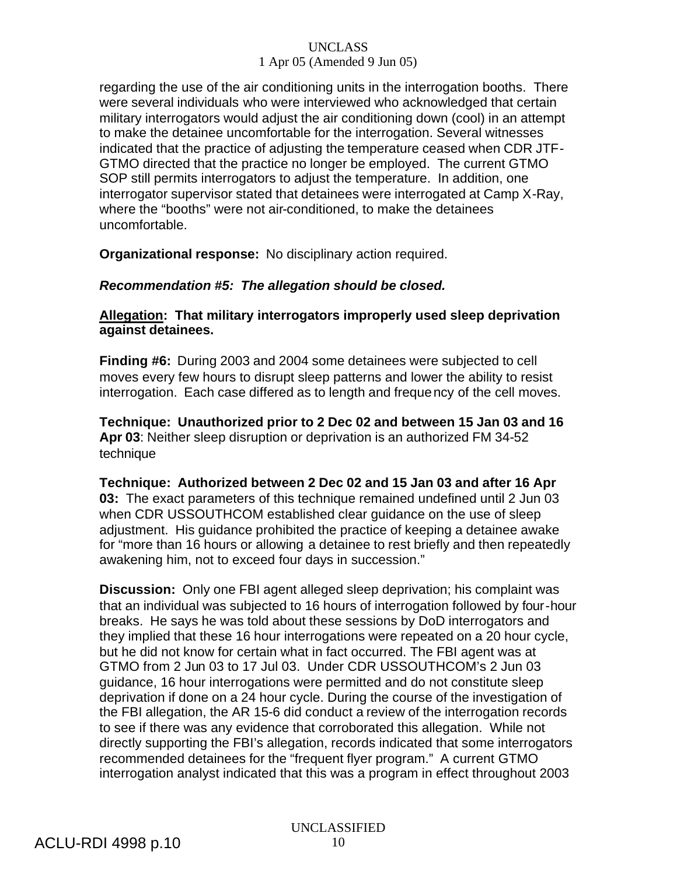#### 1 Apr 05 (Amended 9 Jun 05)

regarding the use of the air conditioning units in the interrogation booths. There were several individuals who were interviewed who acknowledged that certain military interrogators would adjust the air conditioning down (cool) in an attempt to make the detainee uncomfortable for the interrogation. Several witnesses indicated that the practice of adjusting the temperature ceased when CDR JTF-GTMO directed that the practice no longer be employed. The current GTMO SOP still permits interrogators to adjust the temperature. In addition, one interrogator supervisor stated that detainees were interrogated at Camp X-Ray, where the "booths" were not air-conditioned, to make the detainees uncomfortable.

**Organizational response:** No disciplinary action required.

## *Recommendation #5: The allegation should be closed.*

**Allegation: That military interrogators improperly used sleep deprivation against detainees.** 

**Finding #6:** During 2003 and 2004 some detainees were subjected to cell moves every few hours to disrupt sleep patterns and lower the ability to resist interrogation. Each case differed as to length and frequency of the cell moves.

**Technique: Unauthorized prior to 2 Dec 02 and between 15 Jan 03 and 16 Apr 03**: Neither sleep disruption or deprivation is an authorized FM 34-52 technique

**Technique: Authorized between 2 Dec 02 and 15 Jan 03 and after 16 Apr 03:** The exact parameters of this technique remained undefined until 2 Jun 03 when CDR USSOUTHCOM established clear guidance on the use of sleep adjustment. His guidance prohibited the practice of keeping a detainee awake for "more than 16 hours or allowing a detainee to rest briefly and then repeatedly awakening him, not to exceed four days in succession."

**Discussion:** Only one FBI agent alleged sleep deprivation; his complaint was that an individual was subjected to 16 hours of interrogation followed by four-hour breaks. He says he was told about these sessions by DoD interrogators and they implied that these 16 hour interrogations were repeated on a 20 hour cycle, but he did not know for certain what in fact occurred. The FBI agent was at GTMO from 2 Jun 03 to 17 Jul 03. Under CDR USSOUTHCOM's 2 Jun 03 guidance, 16 hour interrogations were permitted and do not constitute sleep deprivation if done on a 24 hour cycle. During the course of the investigation of the FBI allegation, the AR 15-6 did conduct a review of the interrogation records to see if there was any evidence that corroborated this allegation. While not directly supporting the FBI's allegation, records indicated that some interrogators recommended detainees for the "frequent flyer program." A current GTMO interrogation analyst indicated that this was a program in effect throughout 2003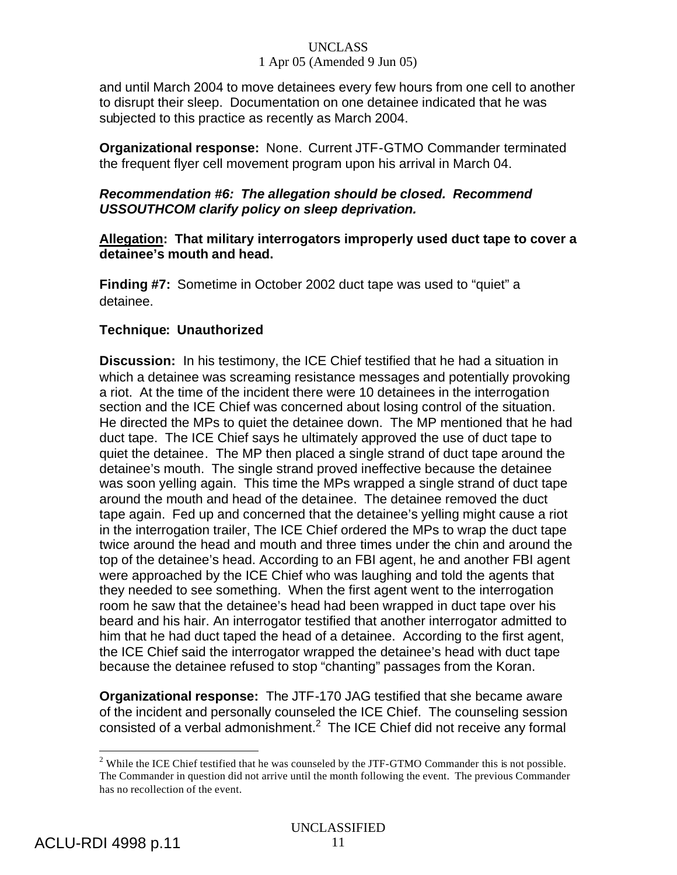#### 1 Apr 05 (Amended 9 Jun 05)

and until March 2004 to move detainees every few hours from one cell to another to disrupt their sleep. Documentation on one detainee indicated that he was subjected to this practice as recently as March 2004.

**Organizational response:** None.Current JTF-GTMO Commander terminated the frequent flyer cell movement program upon his arrival in March 04.

## *Recommendation #6: The allegation should be closed. Recommend USSOUTHCOM clarify policy on sleep deprivation.*

## **Allegation: That military interrogators improperly used duct tape to cover a detainee's mouth and head.**

**Finding #7:** Sometime in October 2002 duct tape was used to "quiet" a detainee.

## **Technique: Unauthorized**

**Discussion:** In his testimony, the ICE Chief testified that he had a situation in which a detainee was screaming resistance messages and potentially provoking a riot. At the time of the incident there were 10 detainees in the interrogation section and the ICE Chief was concerned about losing control of the situation. He directed the MPs to quiet the detainee down. The MP mentioned that he had duct tape. The ICE Chief says he ultimately approved the use of duct tape to quiet the detainee. The MP then placed a single strand of duct tape around the detainee's mouth. The single strand proved ineffective because the detainee was soon yelling again. This time the MPs wrapped a single strand of duct tape around the mouth and head of the detainee. The detainee removed the duct tape again. Fed up and concerned that the detainee's yelling might cause a riot in the interrogation trailer, The ICE Chief ordered the MPs to wrap the duct tape twice around the head and mouth and three times under the chin and around the top of the detainee's head. According to an FBI agent, he and another FBI agent were approached by the ICE Chief who was laughing and told the agents that they needed to see something. When the first agent went to the interrogation room he saw that the detainee's head had been wrapped in duct tape over his beard and his hair. An interrogator testified that another interrogator admitted to him that he had duct taped the head of a detainee. According to the first agent, the ICE Chief said the interrogator wrapped the detainee's head with duct tape because the detainee refused to stop "chanting" passages from the Koran.

**Organizational response:** The JTF-170 JAG testified that she became aware of the incident and personally counseled the ICE Chief. The counseling session consisted of a verbal admonishment. $2$  The ICE Chief did not receive any formal

 $2$  While the ICE Chief testified that he was counseled by the JTF-GTMO Commander this is not possible. The Commander in question did not arrive until the month following the event. The previous Commander has no recollection of the event.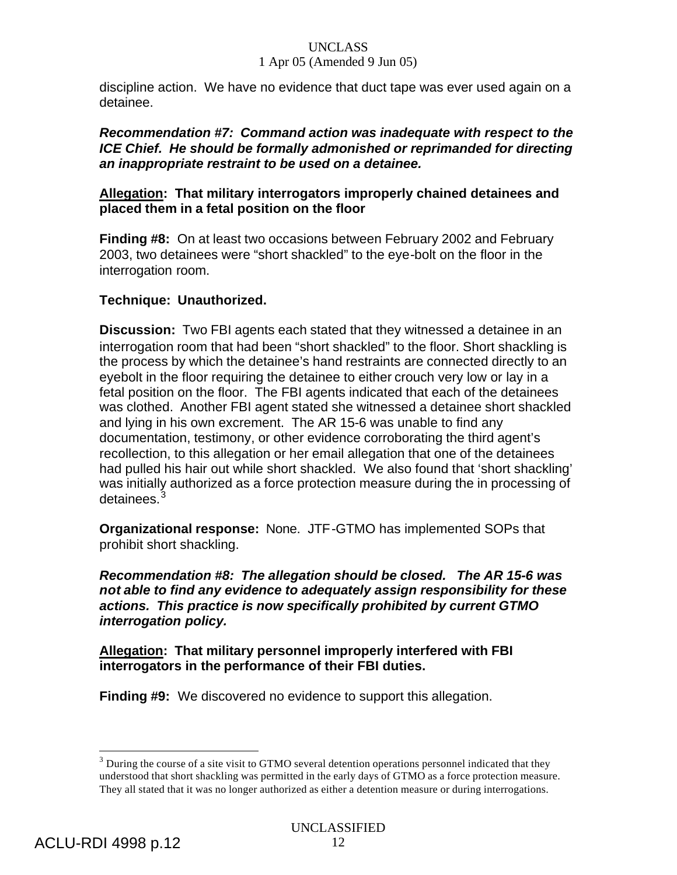#### 1 Apr 05 (Amended 9 Jun 05)

discipline action. We have no evidence that duct tape was ever used again on a detainee.

## *Recommendation #7: Command action was inadequate with respect to the ICE Chief. He should be formally admonished or reprimanded for directing an inappropriate restraint to be used on a detainee.*

## **Allegation: That military interrogators improperly chained detainees and placed them in a fetal position on the floor**

**Finding #8:** On at least two occasions between February 2002 and February 2003, two detainees were "short shackled" to the eye-bolt on the floor in the interrogation room.

## **Technique: Unauthorized.**

**Discussion:** Two FBI agents each stated that they witnessed a detainee in an interrogation room that had been "short shackled" to the floor. Short shackling is the process by which the detainee's hand restraints are connected directly to an eyebolt in the floor requiring the detainee to either crouch very low or lay in a fetal position on the floor. The FBI agents indicated that each of the detainees was clothed. Another FBI agent stated she witnessed a detainee short shackled and lying in his own excrement. The AR 15-6 was unable to find any documentation, testimony, or other evidence corroborating the third agent's recollection, to this allegation or her email allegation that one of the detainees had pulled his hair out while short shackled. We also found that 'short shackling' was initially authorized as a force protection measure during the in processing of detainees.<sup>3</sup>

**Organizational response:** None. JTF-GTMO has implemented SOPs that prohibit short shackling.

*Recommendation #8: The allegation should be closed. The AR 15-6 was not able to find any evidence to adequately assign responsibility for these actions. This practice is now specifically prohibited by current GTMO interrogation policy.*

**Allegation: That military personnel improperly interfered with FBI interrogators in the performance of their FBI duties.** 

**Finding #9:** We discovered no evidence to support this allegation.

 $3$  During the course of a site visit to GTMO several detention operations personnel indicated that they understood that short shackling was permitted in the early days of GTMO as a force protection measure. They all stated that it was no longer authorized as either a detention measure or during interrogations.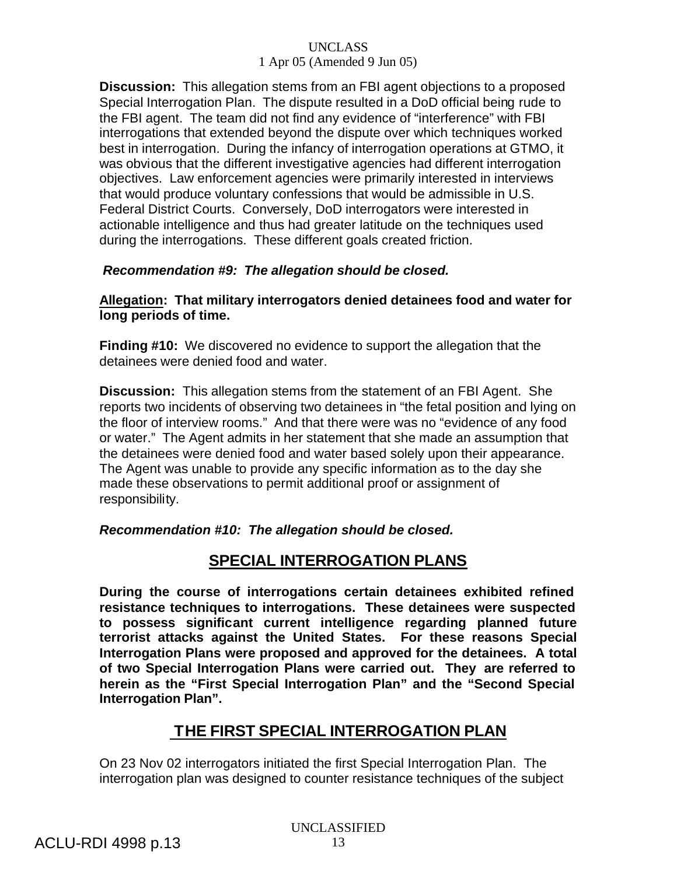## 1 Apr 05 (Amended 9 Jun 05)

**Discussion:** This allegation stems from an FBI agent objections to a proposed Special Interrogation Plan. The dispute resulted in a DoD official being rude to the FBI agent. The team did not find any evidence of "interference" with FBI interrogations that extended beyond the dispute over which techniques worked best in interrogation. During the infancy of interrogation operations at GTMO, it was obvious that the different investigative agencies had different interrogation objectives. Law enforcement agencies were primarily interested in interviews that would produce voluntary confessions that would be admissible in U.S. Federal District Courts. Conversely, DoD interrogators were interested in actionable intelligence and thus had greater latitude on the techniques used during the interrogations. These different goals created friction.

## *Recommendation #9: The allegation should be closed.*

**Allegation: That military interrogators denied detainees food and water for long periods of time.** 

**Finding #10:** We discovered no evidence to support the allegation that the detainees were denied food and water.

**Discussion:** This allegation stems from the statement of an FBI Agent. She reports two incidents of observing two detainees in "the fetal position and lying on the floor of interview rooms." And that there were was no "evidence of any food or water." The Agent admits in her statement that she made an assumption that the detainees were denied food and water based solely upon their appearance. The Agent was unable to provide any specific information as to the day she made these observations to permit additional proof or assignment of responsibility.

## *Recommendation #10: The allegation should be closed.*

## **SPECIAL INTERROGATION PLANS**

**During the course of interrogations certain detainees exhibited refined resistance techniques to interrogations. These detainees were suspected to possess significant current intelligence regarding planned future terrorist attacks against the United States. For these reasons Special Interrogation Plans were proposed and approved for the detainees. A total of two Special Interrogation Plans were carried out. They are referred to herein as the "First Special Interrogation Plan" and the "Second Special Interrogation Plan".**

## **THE FIRST SPECIAL INTERROGATION PLAN**

On 23 Nov 02 interrogators initiated the first Special Interrogation Plan. The interrogation plan was designed to counter resistance techniques of the subject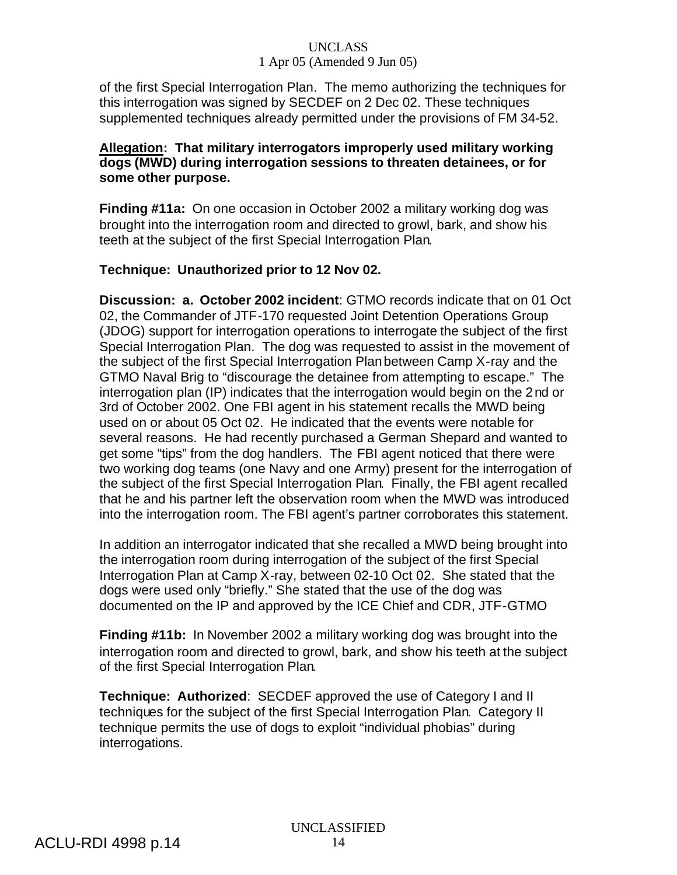#### 1 Apr 05 (Amended 9 Jun 05)

of the first Special Interrogation Plan. The memo authorizing the techniques for this interrogation was signed by SECDEF on 2 Dec 02. These techniques supplemented techniques already permitted under the provisions of FM 34-52.

#### **Allegation: That military interrogators improperly used military working dogs (MWD) during interrogation sessions to threaten detainees, or for some other purpose.**

**Finding #11a:** On one occasion in October 2002 a military working dog was brought into the interrogation room and directed to growl, bark, and show his teeth at the subject of the first Special Interrogation Plan.

## **Technique: Unauthorized prior to 12 Nov 02.**

**Discussion: a. October 2002 incident**: GTMO records indicate that on 01 Oct 02, the Commander of JTF-170 requested Joint Detention Operations Group (JDOG) support for interrogation operations to interrogate the subject of the first Special Interrogation Plan. The dog was requested to assist in the movement of the subject of the first Special Interrogation Plan between Camp X-ray and the GTMO Naval Brig to "discourage the detainee from attempting to escape." The interrogation plan (IP) indicates that the interrogation would begin on the 2nd or 3rd of October 2002. One FBI agent in his statement recalls the MWD being used on or about 05 Oct 02. He indicated that the events were notable for several reasons. He had recently purchased a German Shepard and wanted to get some "tips" from the dog handlers. The FBI agent noticed that there were two working dog teams (one Navy and one Army) present for the interrogation of the subject of the first Special Interrogation Plan. Finally, the FBI agent recalled that he and his partner left the observation room when the MWD was introduced into the interrogation room. The FBI agent's partner corroborates this statement.

In addition an interrogator indicated that she recalled a MWD being brought into the interrogation room during interrogation of the subject of the first Special Interrogation Plan at Camp X-ray, between 02-10 Oct 02. She stated that the dogs were used only "briefly." She stated that the use of the dog was documented on the IP and approved by the ICE Chief and CDR, JTF-GTMO

**Finding #11b:** In November 2002 a military working dog was brought into the interrogation room and directed to growl, bark, and show his teeth at the subject of the first Special Interrogation Plan.

**Technique: Authorized**: SECDEF approved the use of Category I and II techniques for the subject of the first Special Interrogation Plan. Category II technique permits the use of dogs to exploit "individual phobias" during interrogations.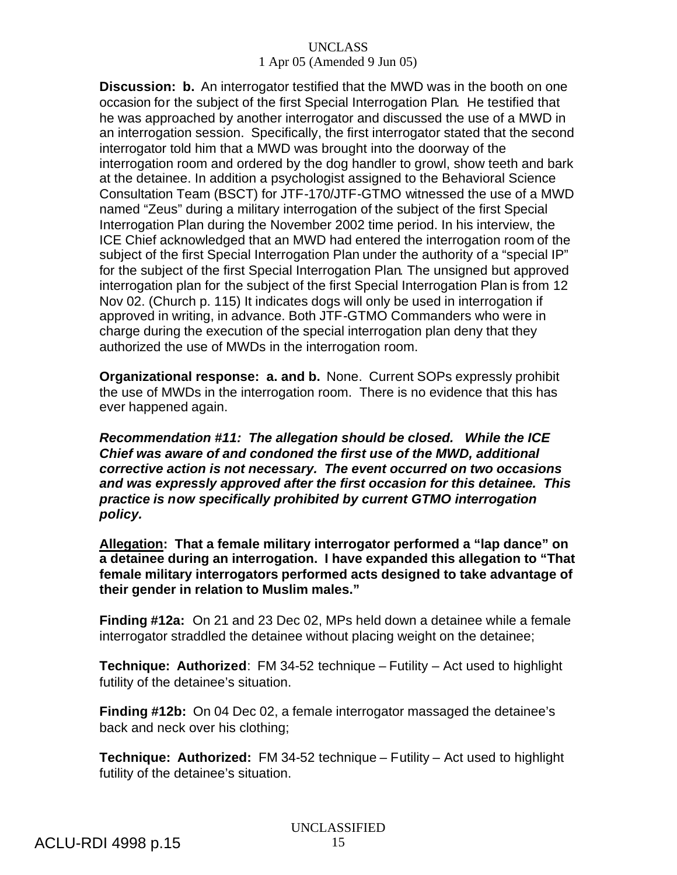#### 1 Apr 05 (Amended 9 Jun 05)

**Discussion: b.** An interrogator testified that the MWD was in the booth on one occasion for the subject of the first Special Interrogation Plan. He testified that he was approached by another interrogator and discussed the use of a MWD in an interrogation session. Specifically, the first interrogator stated that the second interrogator told him that a MWD was brought into the doorway of the interrogation room and ordered by the dog handler to growl, show teeth and bark at the detainee. In addition a psychologist assigned to the Behavioral Science Consultation Team (BSCT) for JTF-170/JTF-GTMO witnessed the use of a MWD named "Zeus" during a military interrogation of the subject of the first Special Interrogation Plan during the November 2002 time period. In his interview, the ICE Chief acknowledged that an MWD had entered the interrogation room of the subject of the first Special Interrogation Plan under the authority of a "special IP" for the subject of the first Special Interrogation Plan. The unsigned but approved interrogation plan for the subject of the first Special Interrogation Plan is from 12 Nov 02. (Church p. 115) It indicates dogs will only be used in interrogation if approved in writing, in advance. Both JTF-GTMO Commanders who were in charge during the execution of the special interrogation plan deny that they authorized the use of MWDs in the interrogation room.

**Organizational response: a. and b.** None. Current SOPs expressly prohibit the use of MWDs in the interrogation room. There is no evidence that this has ever happened again.

*Recommendation #11: The allegation should be closed. While the ICE Chief was aware of and condoned the first use of the MWD, additional corrective action is not necessary. The event occurred on two occasions and was expressly approved after the first occasion for this detainee. This practice is now specifically prohibited by current GTMO interrogation policy.*

**Allegation: That a female military interrogator performed a "lap dance" on a detainee during an interrogation. I have expanded this allegation to "That female military interrogators performed acts designed to take advantage of their gender in relation to Muslim males."** 

**Finding #12a:** On 21 and 23 Dec 02, MPs held down a detainee while a female interrogator straddled the detainee without placing weight on the detainee;

**Technique: Authorized**: FM 34-52 technique – Futility – Act used to highlight futility of the detainee's situation.

**Finding #12b:** On 04 Dec 02, a female interrogator massaged the detainee's back and neck over his clothing;

**Technique: Authorized:** FM 34-52 technique – Futility – Act used to highlight futility of the detainee's situation.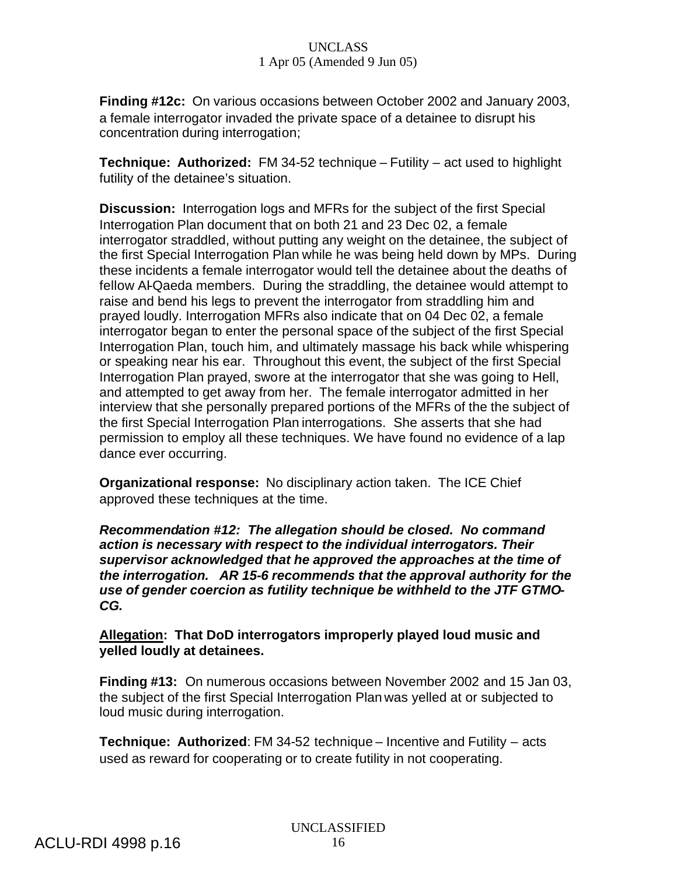**Finding #12c:** On various occasions between October 2002 and January 2003, a female interrogator invaded the private space of a detainee to disrupt his concentration during interrogation;

**Technique: Authorized:** FM 34-52 technique – Futility – act used to highlight futility of the detainee's situation.

**Discussion:** Interrogation logs and MFRs for the subject of the first Special Interrogation Plan document that on both 21 and 23 Dec 02, a female interrogator straddled, without putting any weight on the detainee, the subject of the first Special Interrogation Plan while he was being held down by MPs. During these incidents a female interrogator would tell the detainee about the deaths of fellow Al-Qaeda members. During the straddling, the detainee would attempt to raise and bend his legs to prevent the interrogator from straddling him and prayed loudly. Interrogation MFRs also indicate that on 04 Dec 02, a female interrogator began to enter the personal space of the subject of the first Special Interrogation Plan, touch him, and ultimately massage his back while whispering or speaking near his ear. Throughout this event, the subject of the first Special Interrogation Plan prayed, swore at the interrogator that she was going to Hell, and attempted to get away from her. The female interrogator admitted in her interview that she personally prepared portions of the MFRs of the the subject of the first Special Interrogation Plan interrogations. She asserts that she had permission to employ all these techniques. We have found no evidence of a lap dance ever occurring.

**Organizational response:** No disciplinary action taken. The ICE Chief approved these techniques at the time.

*Recommendation #12: The allegation should be closed. No command action is necessary with respect to the individual interrogators. Their supervisor acknowledged that he approved the approaches at the time of the interrogation. AR 15-6 recommends that the approval authority for the use of gender coercion as futility technique be withheld to the JTF GTMO-CG.* 

**Allegation: That DoD interrogators improperly played loud music and yelled loudly at detainees.** 

**Finding #13:** On numerous occasions between November 2002 and 15 Jan 03, the subject of the first Special Interrogation Plan was yelled at or subjected to loud music during interrogation.

**Technique: Authorized**: FM 34-52 technique – Incentive and Futility – acts used as reward for cooperating or to create futility in not cooperating.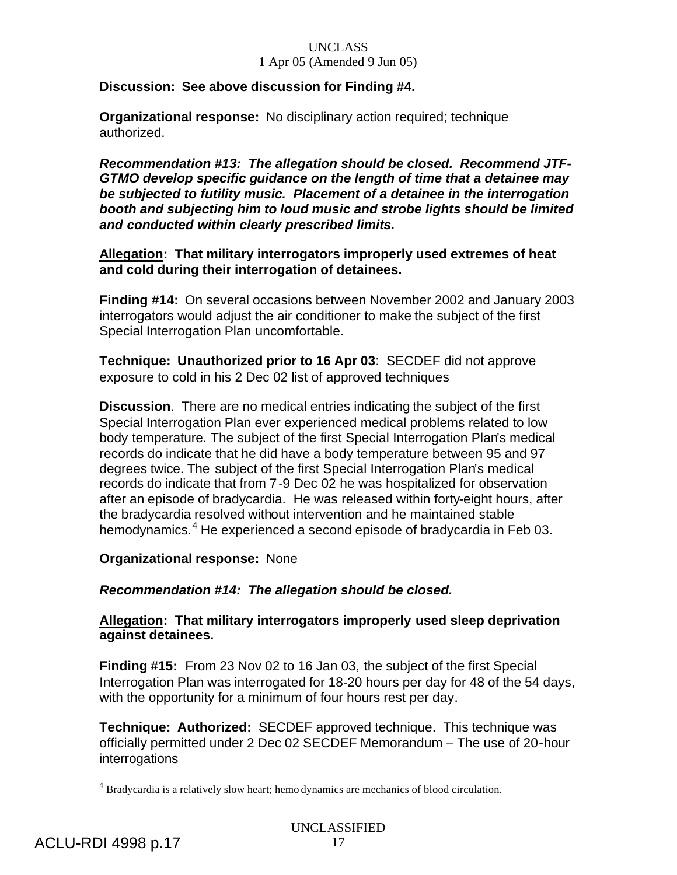#### 1 Apr 05 (Amended 9 Jun 05)

## **Discussion: See above discussion for Finding #4.**

**Organizational response:** No disciplinary action required; technique authorized.

*Recommendation #13: The allegation should be closed. Recommend JTF-GTMO develop specific guidance on the length of time that a detainee may be subjected to futility music. Placement of a detainee in the interrogation booth and subjecting him to loud music and strobe lights should be limited and conducted within clearly prescribed limits.* 

**Allegation: That military interrogators improperly used extremes of heat and cold during their interrogation of detainees.**

**Finding #14:** On several occasions between November 2002 and January 2003 interrogators would adjust the air conditioner to make the subject of the first Special Interrogation Plan uncomfortable.

**Technique: Unauthorized prior to 16 Apr 03**: SECDEF did not approve exposure to cold in his 2 Dec 02 list of approved techniques

**Discussion**. There are no medical entries indicating the subject of the first Special Interrogation Plan ever experienced medical problems related to low body temperature. The subject of the first Special Interrogation Plan's medical records do indicate that he did have a body temperature between 95 and 97 degrees twice. The subject of the first Special Interrogation Plan's medical records do indicate that from 7-9 Dec 02 he was hospitalized for observation after an episode of bradycardia. He was released within forty-eight hours, after the bradycardia resolved without intervention and he maintained stable hemodynamics.<sup>4</sup> He experienced a second episode of bradycardia in Feb 03.

## **Organizational response:** None

## *Recommendation #14: The allegation should be closed.*

## **Allegation: That military interrogators improperly used sleep deprivation against detainees.**

**Finding #15:** From 23 Nov 02 to 16 Jan 03, the subject of the first Special Interrogation Plan was interrogated for 18-20 hours per day for 48 of the 54 days, with the opportunity for a minimum of four hours rest per day.

**Technique: Authorized:** SECDEF approved technique. This technique was officially permitted under 2 Dec 02 SECDEF Memorandum – The use of 20-hour interrogations

<sup>&</sup>lt;sup>4</sup> Bradycardia is a relatively slow heart; hemo dynamics are mechanics of blood circulation.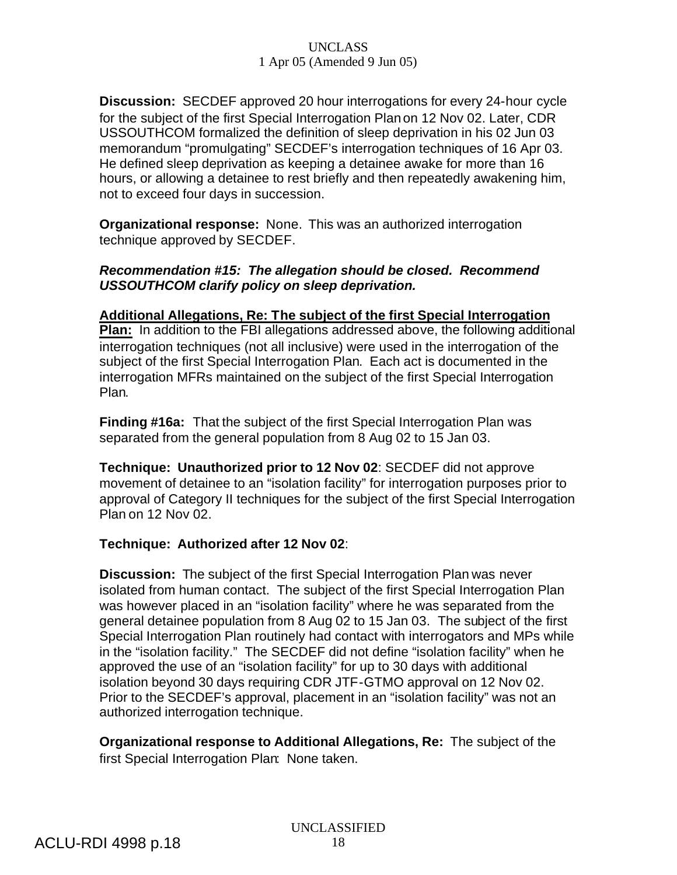**Discussion:** SECDEF approved 20 hour interrogations for every 24-hour cycle for the subject of the first Special Interrogation Plan on 12 Nov 02. Later, CDR USSOUTHCOM formalized the definition of sleep deprivation in his 02 Jun 03 memorandum "promulgating" SECDEF's interrogation techniques of 16 Apr 03. He defined sleep deprivation as keeping a detainee awake for more than 16 hours, or allowing a detainee to rest briefly and then repeatedly awakening him, not to exceed four days in succession.

**Organizational response:** None.This was an authorized interrogation technique approved by SECDEF.

## *Recommendation #15: The allegation should be closed. Recommend USSOUTHCOM clarify policy on sleep deprivation.*

## **Additional Allegations, Re: The subject of the first Special Interrogation**

**Plan:** In addition to the FBI allegations addressed above, the following additional interrogation techniques (not all inclusive) were used in the interrogation of the subject of the first Special Interrogation Plan. Each act is documented in the interrogation MFRs maintained on the subject of the first Special Interrogation Plan.

**Finding #16a:** That the subject of the first Special Interrogation Plan was separated from the general population from 8 Aug 02 to 15 Jan 03.

**Technique: Unauthorized prior to 12 Nov 02**: SECDEF did not approve movement of detainee to an "isolation facility" for interrogation purposes prior to approval of Category II techniques for the subject of the first Special Interrogation Plan on 12 Nov 02.

## **Technique: Authorized after 12 Nov 02**:

**Discussion:** The subject of the first Special Interrogation Plan was never isolated from human contact. The subject of the first Special Interrogation Plan was however placed in an "isolation facility" where he was separated from the general detainee population from 8 Aug 02 to 15 Jan 03. The subject of the first Special Interrogation Plan routinely had contact with interrogators and MPs while in the "isolation facility." The SECDEF did not define "isolation facility" when he approved the use of an "isolation facility" for up to 30 days with additional isolation beyond 30 days requiring CDR JTF-GTMO approval on 12 Nov 02. Prior to the SECDEF's approval, placement in an "isolation facility" was not an authorized interrogation technique.

**Organizational response to Additional Allegations, Re:** The subject of the first Special Interrogation Plan: None taken.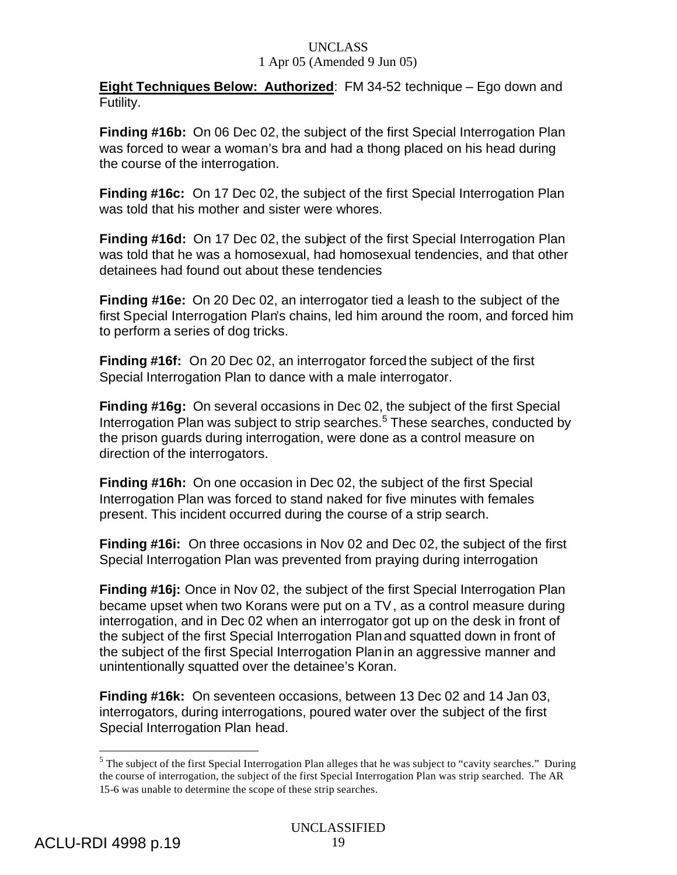**Eight Techniques Below: Authorized**: FM 34-52 technique – Ego down and Futility.

**Finding #16b:** On 06 Dec 02, the subject of the first Special Interrogation Plan was forced to wear a woman's bra and had a thong placed on his head during the course of the interrogation.

**Finding #16c:** On 17 Dec 02, the subject of the first Special Interrogation Plan was told that his mother and sister were whores.

**Finding #16d:** On 17 Dec 02, the subject of the first Special Interrogation Plan was told that he was a homosexual, had homosexual tendencies, and that other detainees had found out about these tendencies

**Finding #16e:** On 20 Dec 02, an interrogator tied a leash to the subject of the first Special Interrogation Plan's chains, led him around the room, and forced him to perform a series of dog tricks.

**Finding #16f:** On 20 Dec 02, an interrogator forced the subject of the first Special Interrogation Plan to dance with a male interrogator.

**Finding #16g:** On several occasions in Dec 02, the subject of the first Special Interrogation Plan was subject to strip searches.<sup>5</sup> These searches, conducted by the prison guards during interrogation, were done as a control measure on direction of the interrogators.

**Finding #16h:** On one occasion in Dec 02, the subject of the first Special Interrogation Plan was forced to stand naked for five minutes with females present. This incident occurred during the course of a strip search.

**Finding #16i:** On three occasions in Nov 02 and Dec 02, the subject of the first Special Interrogation Plan was prevented from praying during interrogation

**Finding #16j:** Once in Nov 02, the subject of the first Special Interrogation Plan became upset when two Korans were put on a TV, as a control measure during interrogation, and in Dec 02 when an interrogator got up on the desk in front of the subject of the first Special Interrogation Plan and squatted down in front of the subject of the first Special Interrogation Plan in an aggressive manner and unintentionally squatted over the detainee's Koran.

**Finding #16k:** On seventeen occasions, between 13 Dec 02 and 14 Jan 03, interrogators, during interrogations, poured water over the subject of the first Special Interrogation Plan head.

 $<sup>5</sup>$  The subject of the first Special Interrogation Plan alleges that he was subject to "cavity searches." During</sup> the course of interrogation, the subject of the first Special Interrogation Plan was strip searched. The AR 15-6 was unable to determine the scope of these strip searches.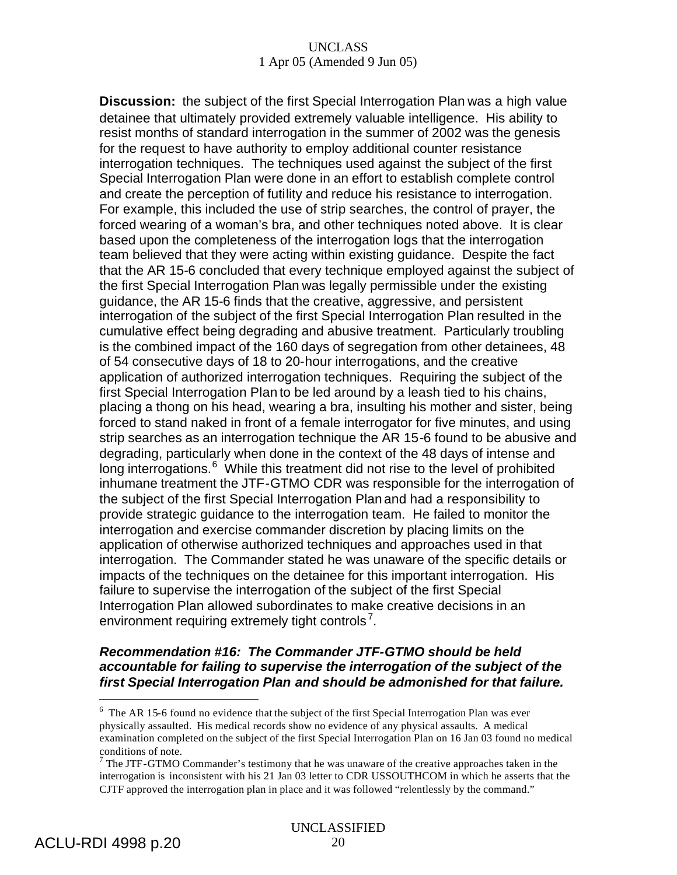**Discussion:** the subject of the first Special Interrogation Plan was a high value detainee that ultimately provided extremely valuable intelligence. His ability to resist months of standard interrogation in the summer of 2002 was the genesis for the request to have authority to employ additional counter resistance interrogation techniques. The techniques used against the subject of the first Special Interrogation Plan were done in an effort to establish complete control and create the perception of futility and reduce his resistance to interrogation. For example, this included the use of strip searches, the control of prayer, the forced wearing of a woman's bra, and other techniques noted above. It is clear based upon the completeness of the interrogation logs that the interrogation team believed that they were acting within existing guidance. Despite the fact that the AR 15-6 concluded that every technique employed against the subject of the first Special Interrogation Plan was legally permissible under the existing guidance, the AR 15-6 finds that the creative, aggressive, and persistent interrogation of the subject of the first Special Interrogation Plan resulted in the cumulative effect being degrading and abusive treatment. Particularly troubling is the combined impact of the 160 days of segregation from other detainees, 48 of 54 consecutive days of 18 to 20-hour interrogations, and the creative application of authorized interrogation techniques. Requiring the subject of the first Special Interrogation Plan to be led around by a leash tied to his chains, placing a thong on his head, wearing a bra, insulting his mother and sister, being forced to stand naked in front of a female interrogator for five minutes, and using strip searches as an interrogation technique the AR 15-6 found to be abusive and degrading, particularly when done in the context of the 48 days of intense and long interrogations.<sup>6</sup> While this treatment did not rise to the level of prohibited inhumane treatment the JTF-GTMO CDR was responsible for the interrogation of the subject of the first Special Interrogation Plan and had a responsibility to provide strategic guidance to the interrogation team. He failed to monitor the interrogation and exercise commander discretion by placing limits on the application of otherwise authorized techniques and approaches used in that interrogation. The Commander stated he was unaware of the specific details or impacts of the techniques on the detainee for this important interrogation. His failure to supervise the interrogation of the subject of the first Special Interrogation Plan allowed subordinates to make creative decisions in an environment requiring extremely tight controls<sup>7</sup>.

*Recommendation #16: The Commander JTF-GTMO should be held accountable for failing to supervise the interrogation of the subject of the first Special Interrogation Plan and should be admonished for that failure.*

 $6$  The AR 15-6 found no evidence that the subject of the first Special Interrogation Plan was ever physically assaulted. His medical records show no evidence of any physical assaults. A medical examination completed on the subject of the first Special Interrogation Plan on 16 Jan 03 found no medical conditions of note.

 $7$  The JTF-GTMO Commander's testimony that he was unaware of the creative approaches taken in the interrogation is inconsistent with his 21 Jan 03 letter to CDR USSOUTHCOM in which he asserts that the CJTF approved the interrogation plan in place and it was followed "relentlessly by the command."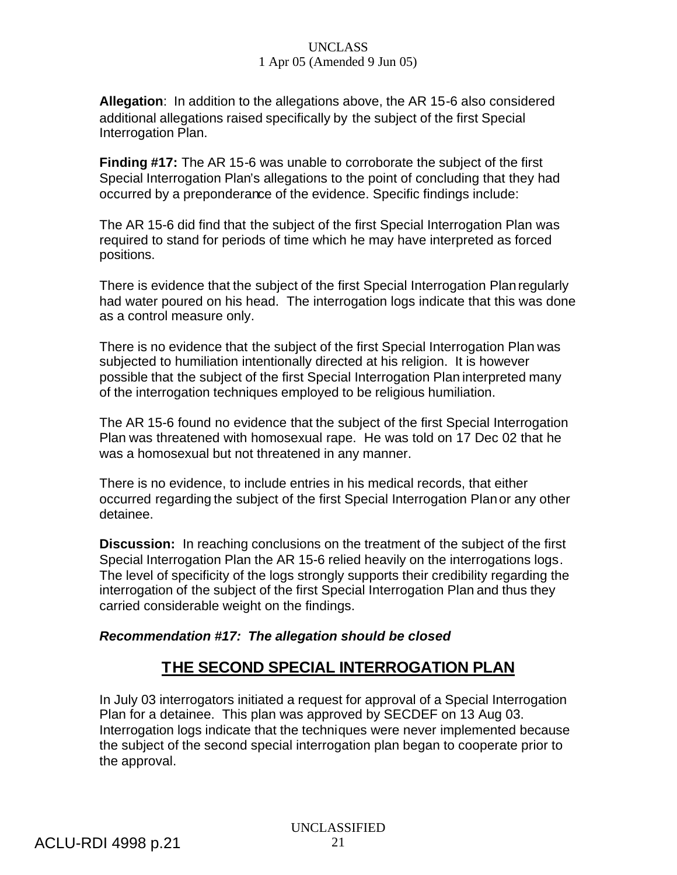**Allegation**: In addition to the allegations above, the AR 15-6 also considered additional allegations raised specifically by the subject of the first Special Interrogation Plan.

**Finding #17:** The AR 15-6 was unable to corroborate the subject of the first Special Interrogation Plan's allegations to the point of concluding that they had occurred by a preponderance of the evidence. Specific findings include:

The AR 15-6 did find that the subject of the first Special Interrogation Plan was required to stand for periods of time which he may have interpreted as forced positions.

There is evidence that the subject of the first Special Interrogation Plan regularly had water poured on his head. The interrogation logs indicate that this was done as a control measure only.

There is no evidence that the subject of the first Special Interrogation Plan was subjected to humiliation intentionally directed at his religion. It is however possible that the subject of the first Special Interrogation Plan interpreted many of the interrogation techniques employed to be religious humiliation.

The AR 15-6 found no evidence that the subject of the first Special Interrogation Plan was threatened with homosexual rape. He was told on 17 Dec 02 that he was a homosexual but not threatened in any manner.

There is no evidence, to include entries in his medical records, that either occurred regarding the subject of the first Special Interrogation Plan or any other detainee.

**Discussion:** In reaching conclusions on the treatment of the subject of the first Special Interrogation Plan the AR 15-6 relied heavily on the interrogations logs. The level of specificity of the logs strongly supports their credibility regarding the interrogation of the subject of the first Special Interrogation Plan and thus they carried considerable weight on the findings.

## *Recommendation #17: The allegation should be closed*

## **THE SECOND SPECIAL INTERROGATION PLAN**

In July 03 interrogators initiated a request for approval of a Special Interrogation Plan for a detainee. This plan was approved by SECDEF on 13 Aug 03. Interrogation logs indicate that the techniques were never implemented because the subject of the second special interrogation plan began to cooperate prior to the approval.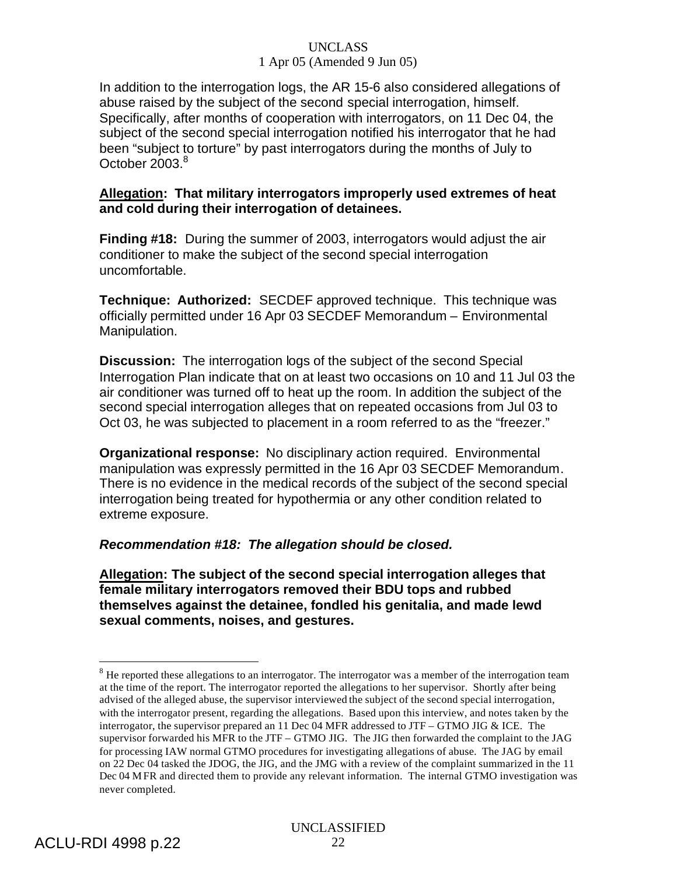#### 1 Apr 05 (Amended 9 Jun 05)

In addition to the interrogation logs, the AR 15-6 also considered allegations of abuse raised by the subject of the second special interrogation, himself. Specifically, after months of cooperation with interrogators, on 11 Dec 04, the subject of the second special interrogation notified his interrogator that he had been "subject to torture" by past interrogators during the months of July to October  $2003.<sup>8</sup>$ 

## **Allegation: That military interrogators improperly used extremes of heat and cold during their interrogation of detainees.**

**Finding #18:** During the summer of 2003, interrogators would adjust the air conditioner to make the subject of the second special interrogation uncomfortable.

**Technique: Authorized:** SECDEF approved technique. This technique was officially permitted under 16 Apr 03 SECDEF Memorandum – Environmental Manipulation.

**Discussion:** The interrogation logs of the subject of the second Special Interrogation Plan indicate that on at least two occasions on 10 and 11 Jul 03 the air conditioner was turned off to heat up the room. In addition the subject of the second special interrogation alleges that on repeated occasions from Jul 03 to Oct 03, he was subjected to placement in a room referred to as the "freezer."

**Organizational response:** No disciplinary action required. Environmental manipulation was expressly permitted in the 16 Apr 03 SECDEF Memorandum. There is no evidence in the medical records of the subject of the second special interrogation being treated for hypothermia or any other condition related to extreme exposure.

## *Recommendation #18: The allegation should be closed.*

**Allegation: The subject of the second special interrogation alleges that female military interrogators removed their BDU tops and rubbed themselves against the detainee, fondled his genitalia, and made lewd sexual comments, noises, and gestures.** 

 $8$  He reported these allegations to an interrogator. The interrogator was a member of the interrogation team at the time of the report. The interrogator reported the allegations to her supervisor. Shortly after being advised of the alleged abuse, the supervisor interviewed the subject of the second special interrogation, with the interrogator present, regarding the allegations. Based upon this interview, and notes taken by the interrogator, the supervisor prepared an 11 Dec 04 MFR addressed to JTF – GTMO JIG  $&$  ICE. The supervisor forwarded his MFR to the JTF – GTMO JIG. The JIG then forwarded the complaint to the JAG for processing IAW normal GTMO procedures for investigating allegations of abuse. The JAG by email on 22 Dec 04 tasked the JDOG, the JIG, and the JMG with a review of the complaint summarized in the 11 Dec 04 MFR and directed them to provide any relevant information. The internal GTMO investigation was never completed.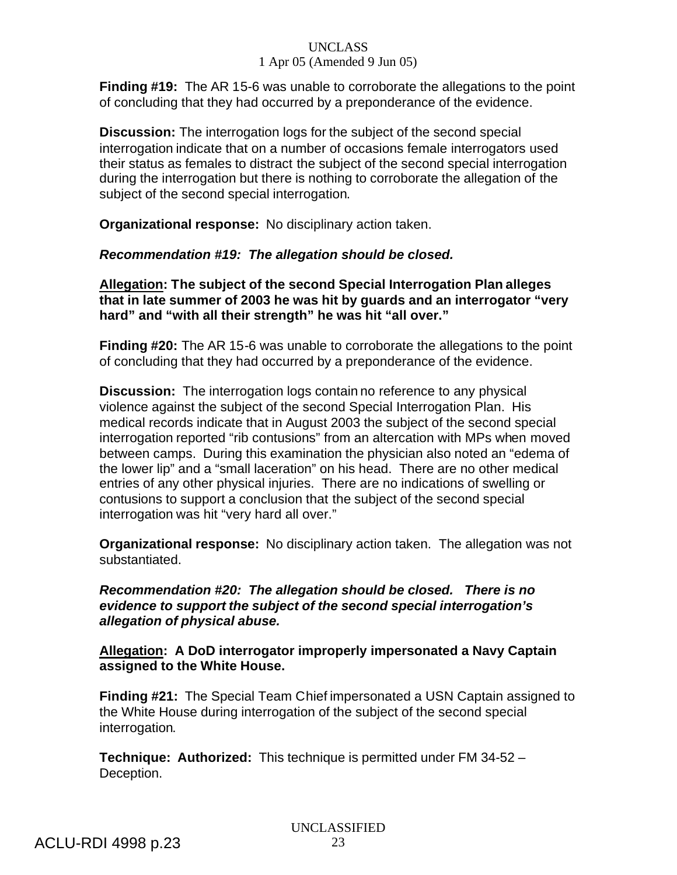#### 1 Apr 05 (Amended 9 Jun 05)

**Finding #19:** The AR 15-6 was unable to corroborate the allegations to the point of concluding that they had occurred by a preponderance of the evidence.

**Discussion:** The interrogation logs for the subject of the second special interrogation indicate that on a number of occasions female interrogators used their status as females to distract the subject of the second special interrogation during the interrogation but there is nothing to corroborate the allegation of the subject of the second special interrogation.

**Organizational response:** No disciplinary action taken.

## *Recommendation #19: The allegation should be closed.*

**Allegation: The subject of the second Special Interrogation Plan alleges that in late summer of 2003 he was hit by guards and an interrogator "very hard" and "with all their strength" he was hit "all over."** 

**Finding #20:** The AR 15-6 was unable to corroborate the allegations to the point of concluding that they had occurred by a preponderance of the evidence.

**Discussion:** The interrogation logs contain no reference to any physical violence against the subject of the second Special Interrogation Plan. His medical records indicate that in August 2003 the subject of the second special interrogation reported "rib contusions" from an altercation with MPs when moved between camps. During this examination the physician also noted an "edema of the lower lip" and a "small laceration" on his head. There are no other medical entries of any other physical injuries. There are no indications of swelling or contusions to support a conclusion that the subject of the second special interrogation was hit "very hard all over."

**Organizational response:** No disciplinary action taken. The allegation was not substantiated.

*Recommendation #20: The allegation should be closed. There is no evidence to support the subject of the second special interrogation's allegation of physical abuse.*

**Allegation: A DoD interrogator improperly impersonated a Navy Captain assigned to the White House.**

**Finding #21:** The Special Team Chief impersonated a USN Captain assigned to the White House during interrogation of the subject of the second special interrogation.

**Technique: Authorized:** This technique is permitted under FM 34-52 – Deception.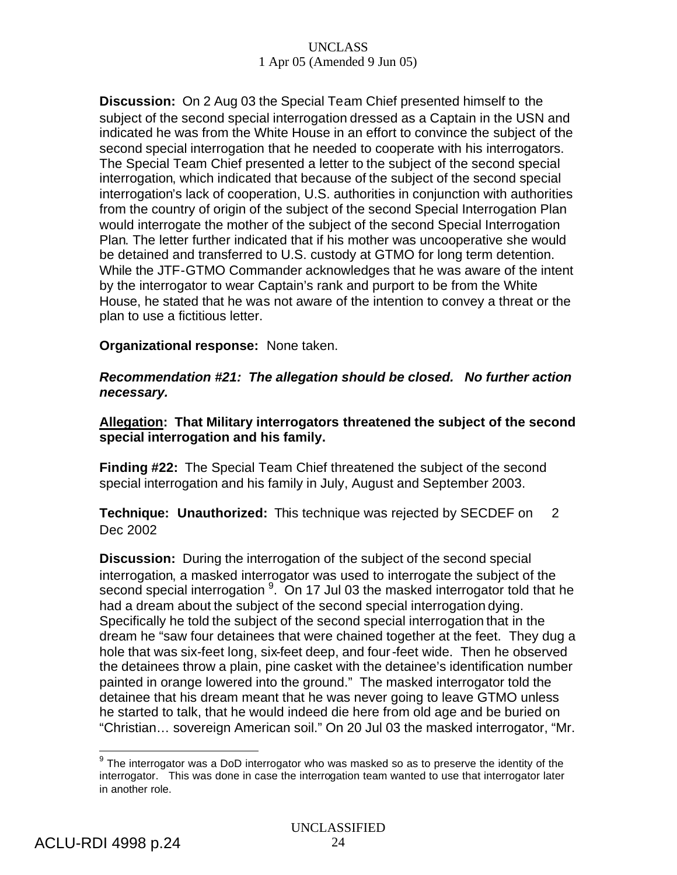**Discussion:** On 2 Aug 03 the Special Team Chief presented himself to the subject of the second special interrogation dressed as a Captain in the USN and indicated he was from the White House in an effort to convince the subject of the second special interrogation that he needed to cooperate with his interrogators. The Special Team Chief presented a letter to the subject of the second special interrogation, which indicated that because of the subject of the second special interrogation's lack of cooperation, U.S. authorities in conjunction with authorities from the country of origin of the subject of the second Special Interrogation Plan would interrogate the mother of the subject of the second Special Interrogation Plan. The letter further indicated that if his mother was uncooperative she would be detained and transferred to U.S. custody at GTMO for long term detention. While the JTF-GTMO Commander acknowledges that he was aware of the intent by the interrogator to wear Captain's rank and purport to be from the White House, he stated that he was not aware of the intention to convey a threat or the plan to use a fictitious letter.

**Organizational response:** None taken.

*Recommendation #21: The allegation should be closed. No further action necessary.*

**Allegation: That Military interrogators threatened the subject of the second special interrogation and his family.**

**Finding #22:** The Special Team Chief threatened the subject of the second special interrogation and his family in July, August and September 2003.

**Technique: Unauthorized:** This technique was rejected by SECDEF on 2 Dec 2002

**Discussion:** During the interrogation of the subject of the second special interrogation, a masked interrogator was used to interrogate the subject of the second special interrogation <sup>9</sup>. On 17 Jul 03 the masked interrogator told that he had a dream about the subject of the second special interrogation dying. Specifically he told the subject of the second special interrogation that in the dream he "saw four detainees that were chained together at the feet. They dug a hole that was six-feet long, six-feet deep, and four-feet wide. Then he observed the detainees throw a plain, pine casket with the detainee's identification number painted in orange lowered into the ground." The masked interrogator told the detainee that his dream meant that he was never going to leave GTMO unless he started to talk, that he would indeed die here from old age and be buried on "Christian… sovereign American soil." On 20 Jul 03 the masked interrogator, "Mr.

 9 The interrogator was a DoD interrogator who was masked so as to preserve the identity of the interrogator. This was done in case the interrogation team wanted to use that interrogator later in another role.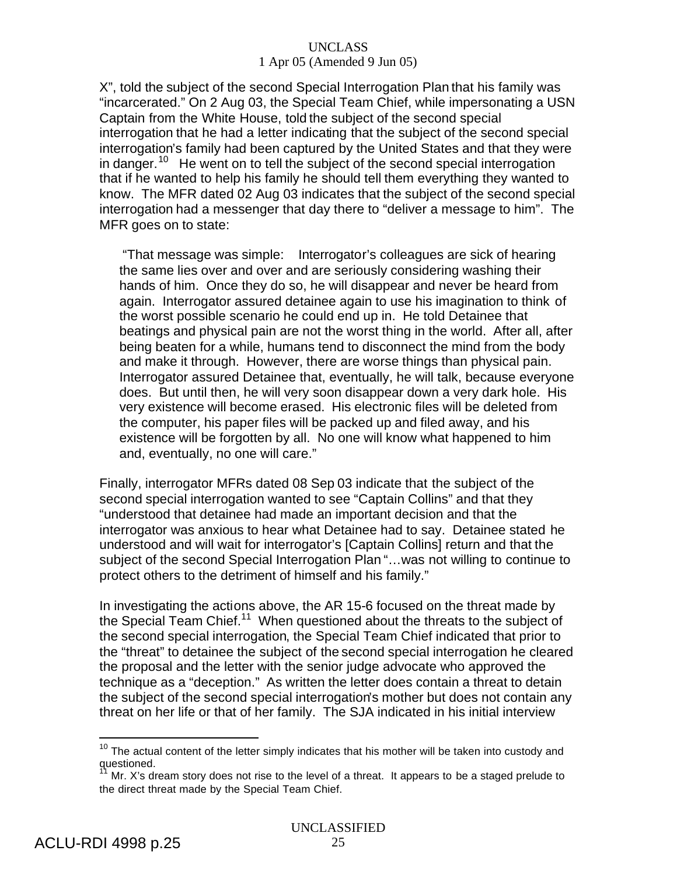#### 1 Apr 05 (Amended 9 Jun 05)

X", told the subject of the second Special Interrogation Plan that his family was "incarcerated." On 2 Aug 03, the Special Team Chief, while impersonating a USN Captain from the White House, told the subject of the second special interrogation that he had a letter indicating that the subject of the second special interrogation's family had been captured by the United States and that they were in danger.<sup>10</sup> He went on to tell the subject of the second special interrogation that if he wanted to help his family he should tell them everything they wanted to know. The MFR dated 02 Aug 03 indicates that the subject of the second special interrogation had a messenger that day there to "deliver a message to him". The MFR goes on to state:

"That message was simple: Interrogator's colleagues are sick of hearing the same lies over and over and are seriously considering washing their hands of him. Once they do so, he will disappear and never be heard from again. Interrogator assured detainee again to use his imagination to think of the worst possible scenario he could end up in. He told Detainee that beatings and physical pain are not the worst thing in the world. After all, after being beaten for a while, humans tend to disconnect the mind from the body and make it through. However, there are worse things than physical pain. Interrogator assured Detainee that, eventually, he will talk, because everyone does. But until then, he will very soon disappear down a very dark hole. His very existence will become erased. His electronic files will be deleted from the computer, his paper files will be packed up and filed away, and his existence will be forgotten by all. No one will know what happened to him and, eventually, no one will care."

Finally, interrogator MFRs dated 08 Sep 03 indicate that the subject of the second special interrogation wanted to see "Captain Collins" and that they "understood that detainee had made an important decision and that the interrogator was anxious to hear what Detainee had to say. Detainee stated he understood and will wait for interrogator's [Captain Collins] return and that the subject of the second Special Interrogation Plan "…was not willing to continue to protect others to the detriment of himself and his family."

In investigating the actions above, the AR 15-6 focused on the threat made by the Special Team Chief.<sup>11</sup> When questioned about the threats to the subject of the second special interrogation, the Special Team Chief indicated that prior to the "threat" to detainee the subject of the second special interrogation he cleared the proposal and the letter with the senior judge advocate who approved the technique as a "deception." As written the letter does contain a threat to detain the subject of the second special interrogation's mother but does not contain any threat on her life or that of her family. The SJA indicated in his initial interview

 $10$  The actual content of the letter simply indicates that his mother will be taken into custody and questioned.

Mr. X's dream story does not rise to the level of a threat. It appears to be a staged prelude to the direct threat made by the Special Team Chief.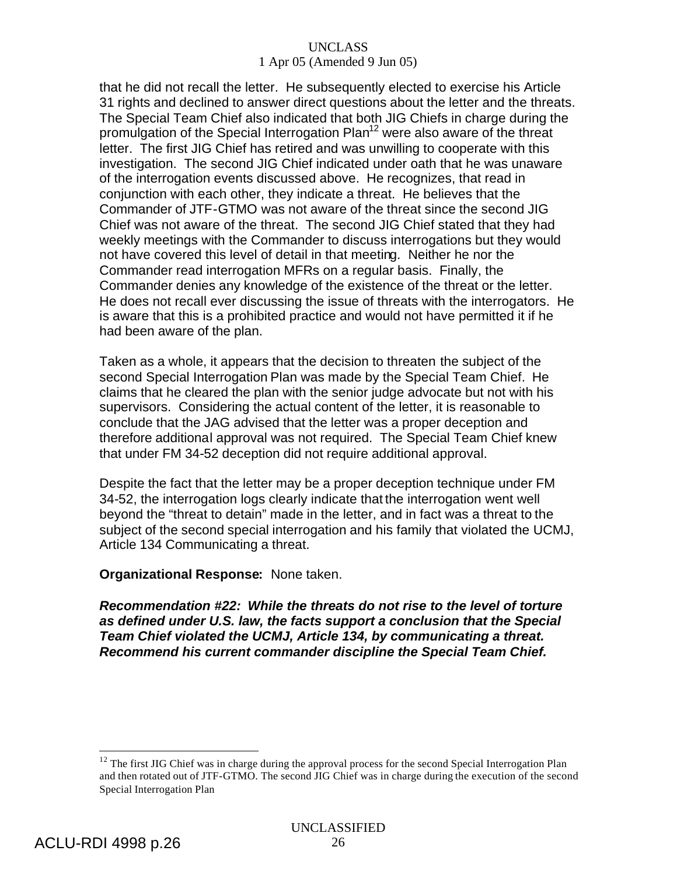#### 1 Apr 05 (Amended 9 Jun 05)

that he did not recall the letter. He subsequently elected to exercise his Article 31 rights and declined to answer direct questions about the letter and the threats. The Special Team Chief also indicated that both JIG Chiefs in charge during the promulgation of the Special Interrogation Plan<sup>12</sup> were also aware of the threat letter. The first JIG Chief has retired and was unwilling to cooperate with this investigation. The second JIG Chief indicated under oath that he was unaware of the interrogation events discussed above. He recognizes, that read in conjunction with each other, they indicate a threat. He believes that the Commander of JTF-GTMO was not aware of the threat since the second JIG Chief was not aware of the threat. The second JIG Chief stated that they had weekly meetings with the Commander to discuss interrogations but they would not have covered this level of detail in that meeting. Neither he nor the Commander read interrogation MFRs on a regular basis. Finally, the Commander denies any knowledge of the existence of the threat or the letter. He does not recall ever discussing the issue of threats with the interrogators. He is aware that this is a prohibited practice and would not have permitted it if he had been aware of the plan.

Taken as a whole, it appears that the decision to threaten the subject of the second Special Interrogation Plan was made by the Special Team Chief. He claims that he cleared the plan with the senior judge advocate but not with his supervisors. Considering the actual content of the letter, it is reasonable to conclude that the JAG advised that the letter was a proper deception and therefore additional approval was not required. The Special Team Chief knew that under FM 34-52 deception did not require additional approval.

Despite the fact that the letter may be a proper deception technique under FM 34-52, the interrogation logs clearly indicate that the interrogation went well beyond the "threat to detain" made in the letter, and in fact was a threat to the subject of the second special interrogation and his family that violated the UCMJ, Article 134 Communicating a threat.

**Organizational Response:** None taken.

*Recommendation #22: While the threats do not rise to the level of torture as defined under U.S. law, the facts support a conclusion that the Special Team Chief violated the UCMJ, Article 134, by communicating a threat. Recommend his current commander discipline the Special Team Chief.* 

<sup>&</sup>lt;sup>12</sup> The first JIG Chief was in charge during the approval process for the second Special Interrogation Plan and then rotated out of JTF-GTMO. The second JIG Chief was in charge during the execution of the second Special Interrogation Plan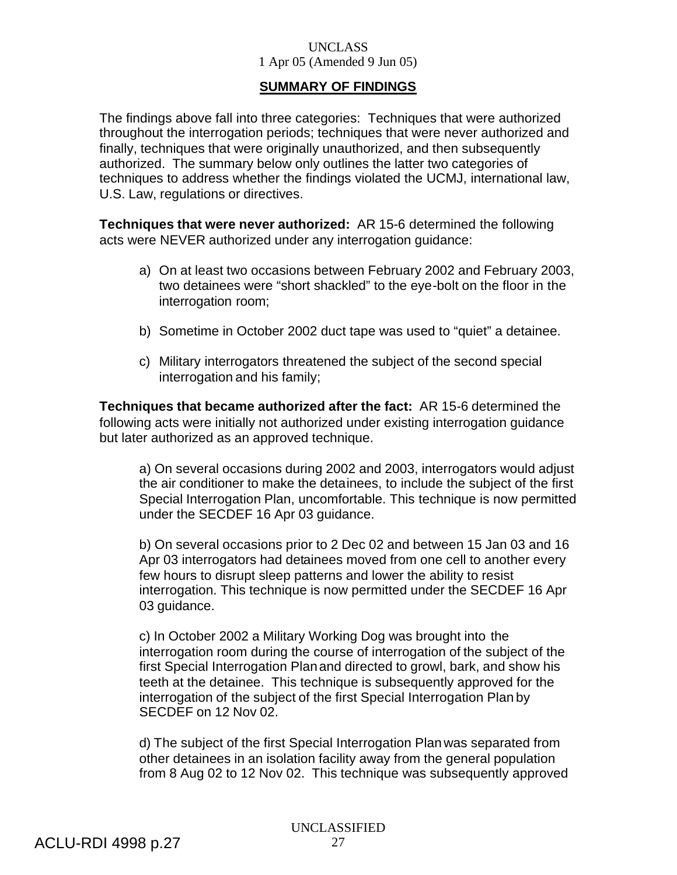## **SUMMARY OF FINDINGS**

The findings above fall into three categories: Techniques that were authorized throughout the interrogation periods; techniques that were never authorized and finally, techniques that were originally unauthorized, and then subsequently authorized. The summary below only outlines the latter two categories of techniques to address whether the findings violated the UCMJ, international law, U.S. Law, regulations or directives.

**Techniques that were never authorized:** AR 15-6 determined the following acts were NEVER authorized under any interrogation guidance:

- a) On at least two occasions between February 2002 and February 2003, two detainees were "short shackled" to the eye-bolt on the floor in the interrogation room;
- b) Sometime in October 2002 duct tape was used to "quiet" a detainee.
- c) Military interrogators threatened the subject of the second special interrogation and his family;

**Techniques that became authorized after the fact:** AR 15-6 determined the following acts were initially not authorized under existing interrogation guidance but later authorized as an approved technique.

a) On several occasions during 2002 and 2003, interrogators would adjust the air conditioner to make the detainees, to include the subject of the first Special Interrogation Plan, uncomfortable. This technique is now permitted under the SECDEF 16 Apr 03 guidance.

b) On several occasions prior to 2 Dec 02 and between 15 Jan 03 and 16 Apr 03 interrogators had detainees moved from one cell to another every few hours to disrupt sleep patterns and lower the ability to resist interrogation. This technique is now permitted under the SECDEF 16 Apr 03 guidance.

c) In October 2002 a Military Working Dog was brought into the interrogation room during the course of interrogation of the subject of the first Special Interrogation Plan and directed to growl, bark, and show his teeth at the detainee. This technique is subsequently approved for the interrogation of the subject of the first Special Interrogation Plan by SECDEF on 12 Nov 02.

d) The subject of the first Special Interrogation Plan was separated from other detainees in an isolation facility away from the general population from 8 Aug 02 to 12 Nov 02. This technique was subsequently approved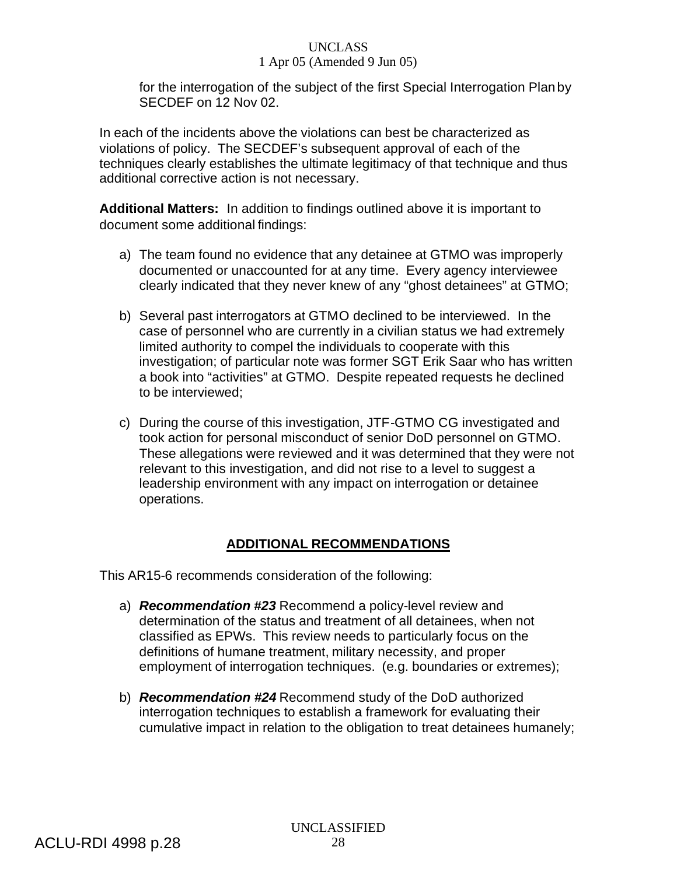#### 1 Apr 05 (Amended 9 Jun 05)

for the interrogation of the subject of the first Special Interrogation Plan by SECDEF on 12 Nov 02.

In each of the incidents above the violations can best be characterized as violations of policy. The SECDEF's subsequent approval of each of the techniques clearly establishes the ultimate legitimacy of that technique and thus additional corrective action is not necessary.

**Additional Matters:** In addition to findings outlined above it is important to document some additional findings:

- a) The team found no evidence that any detainee at GTMO was improperly documented or unaccounted for at any time. Every agency interviewee clearly indicated that they never knew of any "ghost detainees" at GTMO;
- b) Several past interrogators at GTMO declined to be interviewed. In the case of personnel who are currently in a civilian status we had extremely limited authority to compel the individuals to cooperate with this investigation; of particular note was former SGT Erik Saar who has written a book into "activities" at GTMO. Despite repeated requests he declined to be interviewed;
- c) During the course of this investigation, JTF-GTMO CG investigated and took action for personal misconduct of senior DoD personnel on GTMO. These allegations were reviewed and it was determined that they were not relevant to this investigation, and did not rise to a level to suggest a leadership environment with any impact on interrogation or detainee operations.

## **ADDITIONAL RECOMMENDATIONS**

This AR15-6 recommends consideration of the following:

- a) *Recommendation #23* Recommend a policy-level review and determination of the status and treatment of all detainees, when not classified as EPWs. This review needs to particularly focus on the definitions of humane treatment, military necessity, and proper employment of interrogation techniques. (e.g. boundaries or extremes);
- b) *Recommendation #24* Recommend study of the DoD authorized interrogation techniques to establish a framework for evaluating their cumulative impact in relation to the obligation to treat detainees humanely;